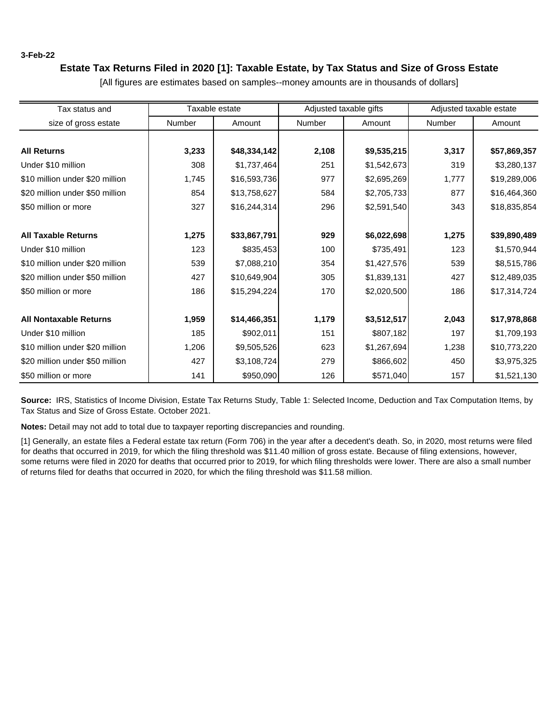### **3-Feb-22**

# **Estate Tax Returns Filed in 2020 [1]: Taxable Estate, by Tax Status and Size of Gross Estate**

| Tax status and                  |               | Taxable estate |               | Adjusted taxable gifts | Adjusted taxable estate |              |
|---------------------------------|---------------|----------------|---------------|------------------------|-------------------------|--------------|
| size of gross estate            | <b>Number</b> | Amount         | <b>Number</b> | Amount                 | <b>Number</b>           | Amount       |
|                                 |               |                |               |                        |                         |              |
| <b>All Returns</b>              | 3,233         | \$48,334,142   | 2,108         | \$9,535,215            | 3,317                   | \$57,869,357 |
| Under \$10 million              | 308           | \$1,737,464    | 251           | \$1,542,673            | 319                     | \$3,280,137  |
| \$10 million under \$20 million | 1,745         | \$16,593,736   | 977           | \$2,695,269            | 1,777                   | \$19,289,006 |
| \$20 million under \$50 million | 854           | \$13,758,627   | 584           | \$2,705,733            | 877                     | \$16,464,360 |
| \$50 million or more            | 327           | \$16,244,314   | 296           | \$2,591,540            | 343                     | \$18,835,854 |
| <b>All Taxable Returns</b>      | 1,275         | \$33,867,791   | 929           | \$6,022,698            | 1,275                   | \$39,890,489 |
| Under \$10 million              | 123           | \$835,453      | 100           | \$735,491              | 123                     | \$1,570,944  |
| \$10 million under \$20 million | 539           | \$7,088,210    | 354           | \$1,427,576            | 539                     | \$8,515,786  |
| \$20 million under \$50 million | 427           | \$10,649,904   | 305           | \$1,839,131            | 427                     | \$12,489,035 |
| \$50 million or more            | 186           | \$15,294,224   | 170           | \$2,020,500            | 186                     | \$17,314,724 |
| <b>All Nontaxable Returns</b>   | 1,959         | \$14,466,351   | 1,179         | \$3,512,517            | 2,043                   | \$17,978,868 |
| Under \$10 million              | 185           | \$902,011      | 151           | \$807,182              | 197                     | \$1,709,193  |
| \$10 million under \$20 million | 1,206         | \$9,505,526    | 623           | \$1,267,694            | 1,238                   | \$10,773,220 |
| \$20 million under \$50 million | 427           | \$3,108,724    | 279           | \$866,602              | 450                     | \$3,975,325  |
| \$50 million or more            | 141           | \$950,090      | 126           | \$571,040              | 157                     | \$1,521,130  |

[All figures are estimates based on samples--money amounts are in thousands of dollars]

**Source:** IRS, Statistics of Income Division, Estate Tax Returns Study, Table 1: Selected Income, Deduction and Tax Computation Items, by Tax Status and Size of Gross Estate. October 2021.

**Notes:** Detail may not add to total due to taxpayer reporting discrepancies and rounding.

[1] Generally, an estate files a Federal estate tax return (Form 706) in the year after a decedent's death. So, in 2020, most returns were filed for deaths that occurred in 2019, for which the filing threshold was \$11.40 million of gross estate. Because of filing extensions, however, some returns were filed in 2020 for deaths that occurred prior to 2019, for which filing thresholds were lower. There are also a small number of returns filed for deaths that occurred in 2020, for which the filing threshold was \$11.58 million.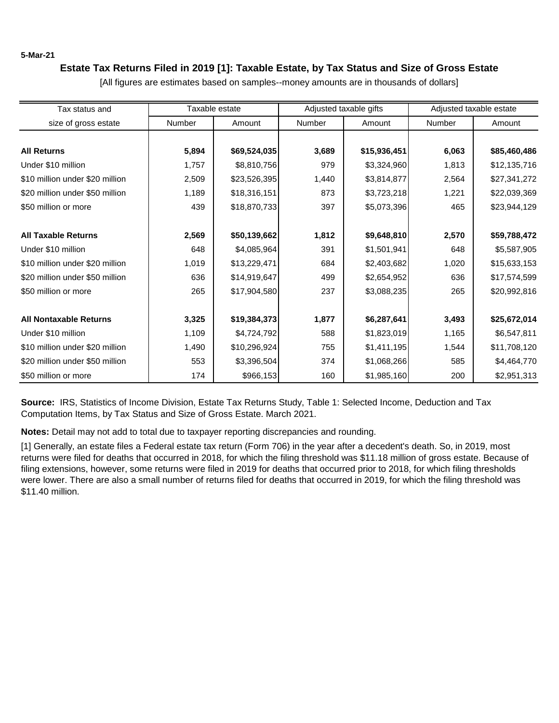**5-Mar-21**

# **Estate Tax Returns Filed in 2019 [1]: Taxable Estate, by Tax Status and Size of Gross Estate**

| Tax status and                  |        | Taxable estate | Adjusted taxable gifts |              | Adjusted taxable estate |              |
|---------------------------------|--------|----------------|------------------------|--------------|-------------------------|--------------|
| size of gross estate            | Number | Amount         | <b>Number</b>          | Amount       | Number                  | Amount       |
|                                 |        |                |                        |              |                         |              |
| <b>All Returns</b>              | 5,894  | \$69,524,035   | 3,689                  | \$15,936,451 | 6,063                   | \$85,460,486 |
| Under \$10 million              | 1,757  | \$8,810,756    | 979                    | \$3,324,960  | 1,813                   | \$12,135,716 |
| \$10 million under \$20 million | 2,509  | \$23,526,395   | 1,440                  | \$3,814,877  | 2,564                   | \$27,341,272 |
| \$20 million under \$50 million | 1,189  | \$18,316,151   | 873                    | \$3,723,218  | 1,221                   | \$22,039,369 |
| \$50 million or more            | 439    | \$18,870,733   | 397                    | \$5,073,396  | 465                     | \$23,944,129 |
| <b>All Taxable Returns</b>      | 2,569  | \$50,139,662   | 1,812                  | \$9,648,810  | 2,570                   | \$59,788,472 |
| Under \$10 million              | 648    | \$4,085,964    | 391                    | \$1,501,941  | 648                     | \$5,587,905  |
| \$10 million under \$20 million | 1,019  | \$13,229,471   | 684                    | \$2,403,682  | 1,020                   | \$15,633,153 |
| \$20 million under \$50 million | 636    | \$14,919,647   | 499                    | \$2,654,952  | 636                     | \$17,574,599 |
| \$50 million or more            | 265    | \$17,904,580   | 237                    | \$3,088,235  | 265                     | \$20,992,816 |
| <b>All Nontaxable Returns</b>   | 3,325  | \$19,384,373   | 1,877                  | \$6,287,641  | 3,493                   | \$25,672,014 |
| Under \$10 million              | 1,109  | \$4,724,792    | 588                    | \$1,823,019  | 1,165                   | \$6,547,811  |
| \$10 million under \$20 million | 1,490  | \$10,296,924   | 755                    | \$1,411,195  | 1,544                   | \$11,708,120 |
| \$20 million under \$50 million | 553    | \$3,396,504    | 374                    | \$1,068,266  | 585                     | \$4,464,770  |
| \$50 million or more            | 174    | \$966,153      | 160                    | \$1,985,160  | 200                     | \$2,951,313  |

[All figures are estimates based on samples--money amounts are in thousands of dollars]

**Source:** IRS, Statistics of Income Division, Estate Tax Returns Study, Table 1: Selected Income, Deduction and Tax Computation Items, by Tax Status and Size of Gross Estate. March 2021.

**Notes:** Detail may not add to total due to taxpayer reporting discrepancies and rounding.

[1] Generally, an estate files a Federal estate tax return (Form 706) in the year after a decedent's death. So, in 2019, most returns were filed for deaths that occurred in 2018, for which the filing threshold was \$11.18 million of gross estate. Because of filing extensions, however, some returns were filed in 2019 for deaths that occurred prior to 2018, for which filing thresholds were lower. There are also a small number of returns filed for deaths that occurred in 2019, for which the filing threshold was \$11.40 million.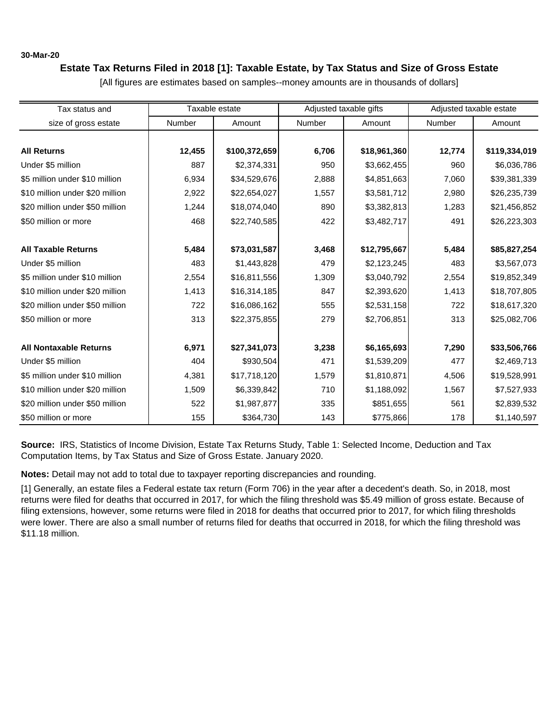### **30-Mar-20**

# **Estate Tax Returns Filed in 2018 [1]: Taxable Estate, by Tax Status and Size of Gross Estate**

Tax status and size of gross estate | Number | Amount | Number | Amount | Number | Amount **All Returns 12,455 \$100,372,659 6,706 \$18,961,360 12,774 \$119,334,019** Under \$5 million | 887 | \$2,374,331| 950 | \$3,662,455| 960 | \$6,036,786 \$5 million under \$10 million  $\begin{array}{|l} \hline \end{array}$  6,934 \$34,529,676  $\begin{array}{|l} \hline \end{array}$  2,888 \$4,851,663 7,060 \$39,381,339 \$10 million under \$20 million | 2,922 | \$22,654,027 | 1,557 | \$3,581,712 | 2,980 | \$26,235,739 \$20 million under \$50 million | 1,244 | \$18,074,040 890 | \$3,382,813 1,283 | \$21,456,852 \$50 million or more 468 | \$22,740,585 | 422 | \$3,482,717 | 491 | \$26,223,303 **All Taxable Returns 5,484 \$73,031,587 3,468 \$12,795,667 5,484 \$85,827,254** Under \$5 million | 483 | \$1,443,828| 479 | \$2,123,245| 483 | \$3,567,073 \$5 million under \$10 million | 2,554 | \$16,811,556 1,309 | \$3,040,792 2,554 | \$19,852,349 \$10 million under \$20 million | 1,413 | \$16,314,185 847 | \$2,393,620 1,413 | \$18,707,805 \$20 million under \$50 million | 722 | \$16,086,162 555 | \$2,531,158 722 | \$18,617,320 \$50 million or more 313 \$22,375,855 279 \$2,706,851 313 \$25,082,706 **All Nontaxable Returns 6,971 \$27,341,073 3,238 \$6,165,693 7,290 \$33,506,766** Under \$5 million | 404 | \$930,504| 471 | \$1,539,209| 477 | \$2,469,713 \$5 million under \$10 million | 4,381 | \$17,718,120 | 1,579 | \$1,810,871 4,506 | \$19,528,991 \$10 million under \$20 million | 1,509 | \$6,339,842 710 | \$1,188,092 1,567 | \$7,527,933 \$20 million under \$50 million | 522 | \$1,987,877 335 | \$851,655 561 | \$2,839,532 \$50 million or more 155 | \$364,730 143 | \$775,866 178 | \$1,140,597 Taxable estate **Adjusted taxable gifts** Adjusted taxable estate

[All figures are estimates based on samples--money amounts are in thousands of dollars]

**Source:** IRS, Statistics of Income Division, Estate Tax Returns Study, Table 1: Selected Income, Deduction and Tax Computation Items, by Tax Status and Size of Gross Estate. January 2020.

**Notes:** Detail may not add to total due to taxpayer reporting discrepancies and rounding.

[1] Generally, an estate files a Federal estate tax return (Form 706) in the year after a decedent's death. So, in 2018, most returns were filed for deaths that occurred in 2017, for which the filing threshold was \$5.49 million of gross estate. Because of filing extensions, however, some returns were filed in 2018 for deaths that occurred prior to 2017, for which filing thresholds were lower. There are also a small number of returns filed for deaths that occurred in 2018, for which the filing threshold was \$11.18 million.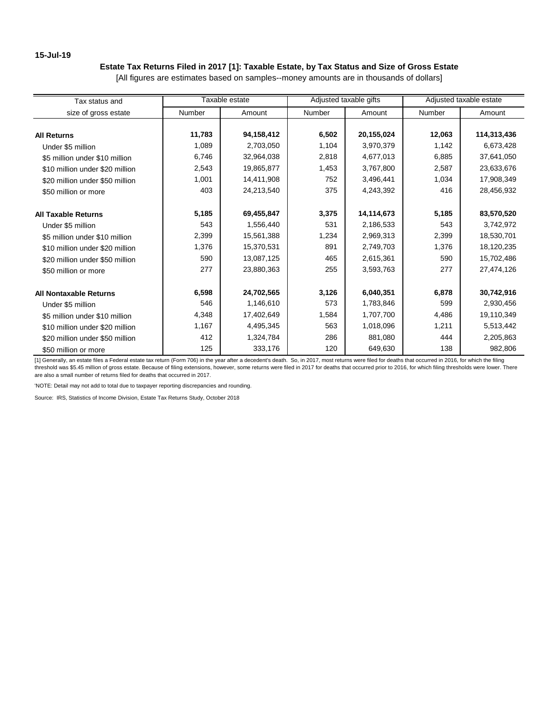### **15-Jul-19**

# **Estate Tax Returns Filed in 2017 [1]: Taxable Estate, by Tax Status and Size of Gross Estate**

[All figures are estimates based on samples--money amounts are in thousands of dollars]

| Tax status and                  |        | Taxable estate |        | Adjusted taxable gifts |               | Adjusted taxable estate |
|---------------------------------|--------|----------------|--------|------------------------|---------------|-------------------------|
| size of gross estate            | Number | Amount         | Number | Amount                 | <b>Number</b> | Amount                  |
|                                 |        |                |        |                        |               |                         |
| <b>All Returns</b>              | 11,783 | 94,158,412     | 6,502  | 20,155,024             | 12,063        | 114,313,436             |
| Under \$5 million               | 1,089  | 2,703,050      | 1,104  | 3,970,379              | 1,142         | 6,673,428               |
| \$5 million under \$10 million  | 6,746  | 32,964,038     | 2,818  | 4,677,013              | 6,885         | 37,641,050              |
| \$10 million under \$20 million | 2,543  | 19,865,877     | 1,453  | 3,767,800              | 2,587         | 23,633,676              |
| \$20 million under \$50 million | 1,001  | 14,411,908     | 752    | 3,496,441              | 1,034         | 17,908,349              |
| \$50 million or more            | 403    | 24,213,540     | 375    | 4,243,392              | 416           | 28,456,932              |
|                                 |        |                |        |                        |               |                         |
| <b>All Taxable Returns</b>      | 5,185  | 69,455,847     | 3,375  | 14,114,673             | 5,185         | 83,570,520              |
| Under \$5 million               | 543    | 1,556,440      | 531    | 2,186,533              | 543           | 3,742,972               |
| \$5 million under \$10 million  | 2,399  | 15,561,388     | 1,234  | 2,969,313              | 2,399         | 18,530,701              |
| \$10 million under \$20 million | 1,376  | 15,370,531     | 891    | 2,749,703              | 1,376         | 18,120,235              |
| \$20 million under \$50 million | 590    | 13,087,125     | 465    | 2,615,361              | 590           | 15,702,486              |
| \$50 million or more            | 277    | 23,880,363     | 255    | 3,593,763              | 277           | 27,474,126              |
|                                 |        |                |        |                        |               |                         |
| <b>All Nontaxable Returns</b>   | 6,598  | 24,702,565     | 3,126  | 6,040,351              | 6,878         | 30,742,916              |
| Under \$5 million               | 546    | 1,146,610      | 573    | 1,783,846              | 599           | 2,930,456               |
| \$5 million under \$10 million  | 4,348  | 17,402,649     | 1,584  | 1,707,700              | 4,486         | 19,110,349              |
| \$10 million under \$20 million | 1,167  | 4,495,345      | 563    | 1,018,096              | 1,211         | 5,513,442               |
| \$20 million under \$50 million | 412    | 1,324,784      | 286    | 881,080                | 444           | 2,205,863               |
| \$50 million or more            | 125    | 333,176        | 120    | 649,630                | 138           | 982,806                 |

[1] Generally, an estate files a Federal estate tax return (Form 706) in the year after a decedent's death. So, in 2017, most returns were filed for deaths that occurred in 2016, for which the filing threshold was \$5.45 million of gross estate. Because of filing extensions, however, some returns were filed in 2017 for deaths that occurred prior to 2016, for which filing thresholds were lower. There are also a small number of returns filed for deaths that occurred in 2017.

'NOTE: Detail may not add to total due to taxpayer reporting discrepancies and rounding.

Source: IRS, Statistics of Income Division, Estate Tax Returns Study, October 2018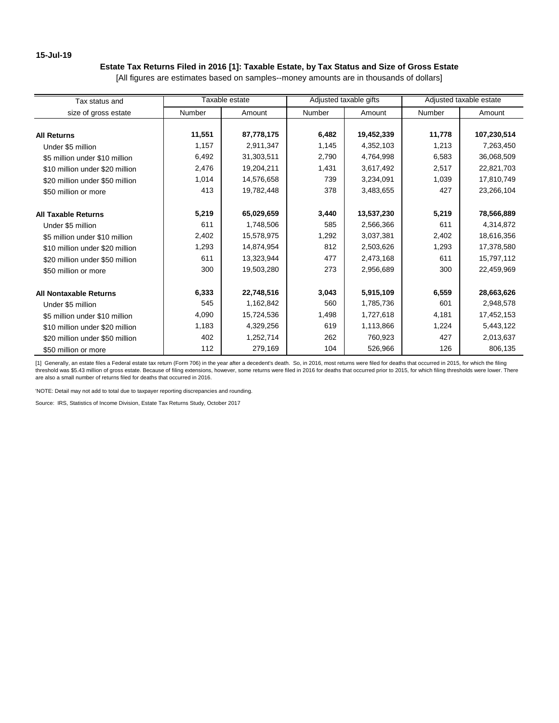### **15-Jul-19**

# **Estate Tax Returns Filed in 2016 [1]: Taxable Estate, by Tax Status and Size of Gross Estate**

[All figures are estimates based on samples--money amounts are in thousands of dollars]

| Tax status and                  |        | Taxable estate |        | Adjusted taxable gifts |               | Adjusted taxable estate |
|---------------------------------|--------|----------------|--------|------------------------|---------------|-------------------------|
| size of gross estate            | Number | Amount         | Number | Amount                 | <b>Number</b> | Amount                  |
|                                 |        |                |        |                        |               |                         |
| <b>All Returns</b>              | 11,551 | 87,778,175     | 6,482  | 19,452,339             | 11,778        | 107,230,514             |
| Under \$5 million               | 1,157  | 2,911,347      | 1,145  | 4,352,103              | 1,213         | 7,263,450               |
| \$5 million under \$10 million  | 6,492  | 31,303,511     | 2,790  | 4,764,998              | 6,583         | 36,068,509              |
| \$10 million under \$20 million | 2,476  | 19,204,211     | 1,431  | 3,617,492              | 2,517         | 22,821,703              |
| \$20 million under \$50 million | 1,014  | 14,576,658     | 739    | 3,234,091              | 1,039         | 17,810,749              |
| \$50 million or more            | 413    | 19,782,448     | 378    | 3,483,655              | 427           | 23,266,104              |
|                                 |        |                |        |                        |               |                         |
| <b>All Taxable Returns</b>      | 5,219  | 65,029,659     | 3,440  | 13,537,230             | 5,219         | 78,566,889              |
| Under \$5 million               | 611    | 1,748,506      | 585    | 2,566,366              | 611           | 4,314,872               |
| \$5 million under \$10 million  | 2,402  | 15,578,975     | 1,292  | 3,037,381              | 2,402         | 18,616,356              |
| \$10 million under \$20 million | 1,293  | 14,874,954     | 812    | 2,503,626              | 1,293         | 17,378,580              |
| \$20 million under \$50 million | 611    | 13,323,944     | 477    | 2,473,168              | 611           | 15,797,112              |
| \$50 million or more            | 300    | 19,503,280     | 273    | 2,956,689              | 300           | 22,459,969              |
|                                 |        |                |        |                        |               |                         |
| <b>All Nontaxable Returns</b>   | 6,333  | 22,748,516     | 3,043  | 5,915,109              | 6,559         | 28,663,626              |
| Under \$5 million               | 545    | 1,162,842      | 560    | 1,785,736              | 601           | 2,948,578               |
| \$5 million under \$10 million  | 4,090  | 15,724,536     | 1,498  | 1,727,618              | 4,181         | 17,452,153              |
| \$10 million under \$20 million | 1,183  | 4,329,256      | 619    | 1,113,866              | 1,224         | 5,443,122               |
| \$20 million under \$50 million | 402    | 1,252,714      | 262    | 760,923                | 427           | 2,013,637               |
| \$50 million or more            | 112    | 279,169        | 104    | 526,966                | 126           | 806,135                 |

[1] Generally, an estate files a Federal estate tax return (Form 706) in the year after a decedent's death. So, in 2016, most returns were filed for deaths that occurred in 2015, for which the filing threshold was \$5.43 million of gross estate. Because of filing extensions, however, some returns were filed in 2016 for deaths that occurred prior to 2015, for which filing thresholds were lower. There are also a small number of returns filed for deaths that occurred in 2016.

'NOTE: Detail may not add to total due to taxpayer reporting discrepancies and rounding.

Source: IRS, Statistics of Income Division, Estate Tax Returns Study, October 2017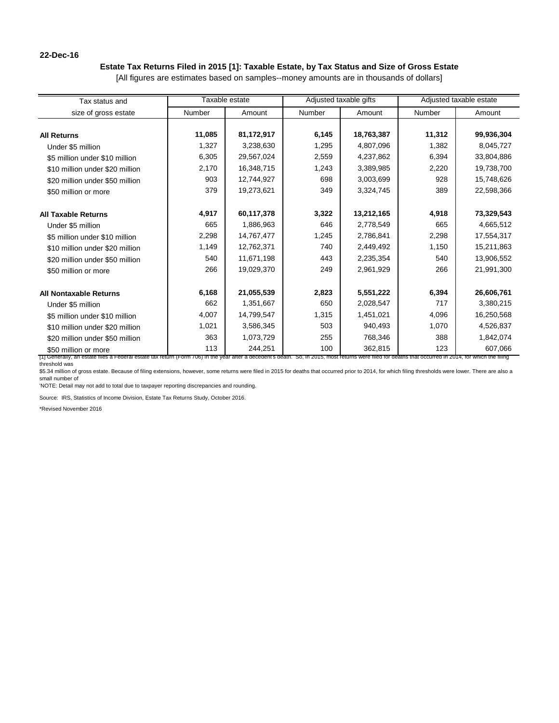### **22-Dec-16**

# **Estate Tax Returns Filed in 2015 [1]: Taxable Estate, by Tax Status and Size of Gross Estate**

[All figures are estimates based on samples--money amounts are in thousands of dollars]

| Tax status and                                                                                                                                                                                                                  |        | Taxable estate |               | Adjusted taxable gifts |        | Adjusted taxable estate |
|---------------------------------------------------------------------------------------------------------------------------------------------------------------------------------------------------------------------------------|--------|----------------|---------------|------------------------|--------|-------------------------|
| size of gross estate                                                                                                                                                                                                            | Number | Amount         | <b>Number</b> | Amount                 | Number | Amount                  |
|                                                                                                                                                                                                                                 |        |                |               |                        |        |                         |
| <b>All Returns</b>                                                                                                                                                                                                              | 11,085 | 81,172,917     | 6,145         | 18,763,387             | 11,312 | 99,936,304              |
| Under \$5 million                                                                                                                                                                                                               | 1,327  | 3,238,630      | 1,295         | 4,807,096              | 1,382  | 8,045,727               |
| \$5 million under \$10 million                                                                                                                                                                                                  | 6,305  | 29,567,024     | 2,559         | 4,237,862              | 6,394  | 33,804,886              |
| \$10 million under \$20 million                                                                                                                                                                                                 | 2,170  | 16,348,715     | 1,243         | 3,389,985              | 2,220  | 19,738,700              |
| \$20 million under \$50 million                                                                                                                                                                                                 | 903    | 12.744.927     | 698           | 3,003,699              | 928    | 15,748,626              |
| \$50 million or more                                                                                                                                                                                                            | 379    | 19,273,621     | 349           | 3,324,745              | 389    | 22,598,366              |
|                                                                                                                                                                                                                                 |        |                |               |                        |        |                         |
| <b>All Taxable Returns</b>                                                                                                                                                                                                      | 4,917  | 60,117,378     | 3,322         | 13,212,165             | 4,918  | 73,329,543              |
| Under \$5 million                                                                                                                                                                                                               | 665    | 1,886,963      | 646           | 2,778,549              | 665    | 4,665,512               |
| \$5 million under \$10 million                                                                                                                                                                                                  | 2,298  | 14,767,477     | 1,245         | 2,786,841              | 2,298  | 17,554,317              |
| \$10 million under \$20 million                                                                                                                                                                                                 | 1,149  | 12,762,371     | 740           | 2,449,492              | 1,150  | 15,211,863              |
| \$20 million under \$50 million                                                                                                                                                                                                 | 540    | 11,671,198     | 443           | 2,235,354              | 540    | 13,906,552              |
| \$50 million or more                                                                                                                                                                                                            | 266    | 19,029,370     | 249           | 2,961,929              | 266    | 21,991,300              |
|                                                                                                                                                                                                                                 |        |                |               |                        |        |                         |
| <b>All Nontaxable Returns</b>                                                                                                                                                                                                   | 6,168  | 21,055,539     | 2,823         | 5,551,222              | 6,394  | 26,606,761              |
| Under \$5 million                                                                                                                                                                                                               | 662    | 1,351,667      | 650           | 2,028,547              | 717    | 3,380,215               |
| \$5 million under \$10 million                                                                                                                                                                                                  | 4,007  | 14,799,547     | 1,315         | 1,451,021              | 4,096  | 16,250,568              |
| \$10 million under \$20 million                                                                                                                                                                                                 | 1,021  | 3,586,345      | 503           | 940,493                | 1,070  | 4,526,837               |
| \$20 million under \$50 million                                                                                                                                                                                                 | 363    | 1,073,729      | 255           | 768,346                | 388    | 1,842,074               |
| \$50 million or more<br>[1] Generally, an estate files a Federal estate tax return (Form 706) in the year after a decedent's death. So, in 2015, most returns were filed for deaths that occurred in 2014, for which the filing | 113    | 244,251        | 100           | 362,815                | 123    | 607,066                 |

threshold was

\$5.34 million of gross estate. Because of filing extensions, however, some returns were filed in 2015 for deaths that occurred prior to 2014, for which filing thresholds were lower. There are also a small number of

'NOTE: Detail may not add to total due to taxpayer reporting discrepancies and rounding.

Source: IRS, Statistics of Income Division, Estate Tax Returns Study, October 2016.

\*Revised November 2016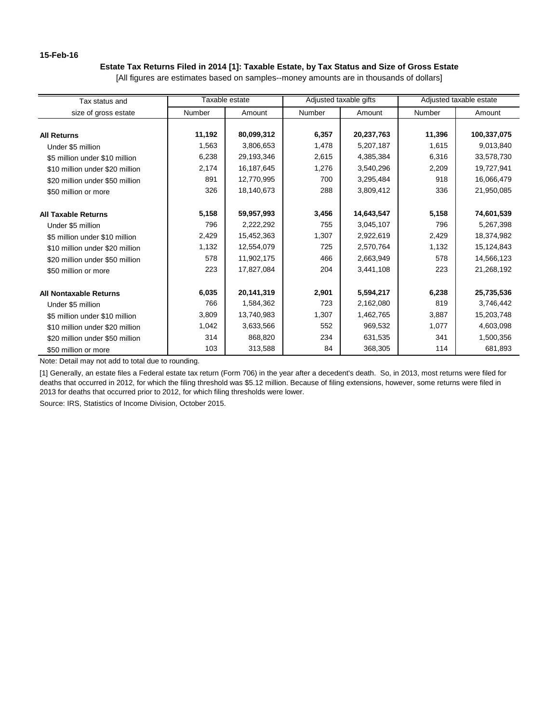### **15-Feb-16**

# **Estate Tax Returns Filed in 2014 [1]: Taxable Estate, by Tax Status and Size of Gross Estate**

[All figures are estimates based on samples--money amounts are in thousands of dollars]

| Tax status and                  |               | Taxable estate |               | Adjusted taxable gifts |        | Adjusted taxable estate |  |
|---------------------------------|---------------|----------------|---------------|------------------------|--------|-------------------------|--|
| size of gross estate            | <b>Number</b> | Amount         | <b>Number</b> | Amount                 | Number | Amount                  |  |
|                                 |               |                |               |                        |        |                         |  |
| <b>All Returns</b>              | 11,192        | 80,099,312     | 6,357         | 20,237,763             | 11,396 | 100,337,075             |  |
| Under \$5 million               | 1,563         | 3,806,653      | 1,478         | 5,207,187              | 1,615  | 9,013,840               |  |
| \$5 million under \$10 million  | 6,238         | 29,193,346     | 2,615         | 4,385,384              | 6,316  | 33,578,730              |  |
| \$10 million under \$20 million | 2,174         | 16,187,645     | 1,276         | 3,540,296              | 2,209  | 19,727,941              |  |
| \$20 million under \$50 million | 891           | 12,770,995     | 700           | 3,295,484              | 918    | 16,066,479              |  |
| \$50 million or more            | 326           | 18,140,673     | 288           | 3,809,412              | 336    | 21,950,085              |  |
| <b>All Taxable Returns</b>      | 5,158         | 59,957,993     | 3,456         | 14,643,547             | 5,158  | 74,601,539              |  |
| Under \$5 million               | 796           | 2,222,292      | 755           | 3,045,107              | 796    | 5,267,398               |  |
| \$5 million under \$10 million  | 2,429         | 15,452,363     | 1,307         | 2,922,619              | 2,429  | 18,374,982              |  |
| \$10 million under \$20 million | 1,132         | 12,554,079     | 725           | 2,570,764              | 1,132  | 15,124,843              |  |
| \$20 million under \$50 million | 578           | 11,902,175     | 466           | 2,663,949              | 578    | 14,566,123              |  |
| \$50 million or more            | 223           | 17,827,084     | 204           | 3,441,108              | 223    | 21,268,192              |  |
| <b>All Nontaxable Returns</b>   | 6,035         | 20,141,319     | 2,901         | 5,594,217              | 6,238  | 25,735,536              |  |
| Under \$5 million               | 766           | 1,584,362      | 723           | 2,162,080              | 819    | 3,746,442               |  |
| \$5 million under \$10 million  | 3,809         | 13,740,983     | 1,307         | 1,462,765              | 3,887  | 15,203,748              |  |
| \$10 million under \$20 million | 1,042         | 3,633,566      | 552           | 969,532                | 1,077  | 4,603,098               |  |
| \$20 million under \$50 million | 314           | 868,820        | 234           | 631,535                | 341    | 1,500,356               |  |
| \$50 million or more            | 103           | 313,588        | 84            | 368,305                | 114    | 681,893                 |  |

Note: Detail may not add to total due to rounding.

[1] Generally, an estate files a Federal estate tax return (Form 706) in the year after a decedent's death. So, in 2013, most returns were filed for deaths that occurred in 2012, for which the filing threshold was \$5.12 million. Because of filing extensions, however, some returns were filed in 2013 for deaths that occurred prior to 2012, for which filing thresholds were lower.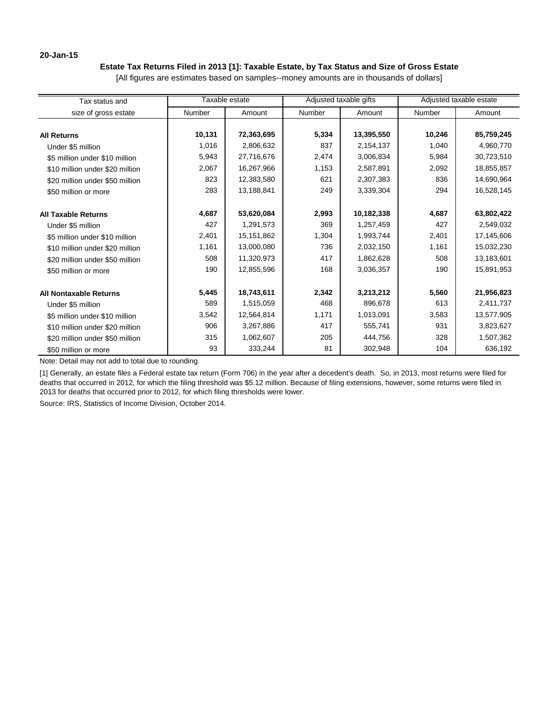### **20-Jan-15**

# **Estate Tax Returns Filed in 2013 [1]: Taxable Estate, by Tax Status and Size of Gross Estate**

[All figures are estimates based on samples--money amounts are in thousands of dollars]

| Tax status and                  |               | Taxable estate |        | Adjusted taxable gifts |        | Adjusted taxable estate |  |
|---------------------------------|---------------|----------------|--------|------------------------|--------|-------------------------|--|
| size of gross estate            | <b>Number</b> | Amount         | Number | Amount                 | Number | Amount                  |  |
|                                 |               |                |        |                        |        |                         |  |
| <b>All Returns</b>              | 10,131        | 72,363,695     | 5,334  | 13,395,550             | 10,246 | 85,759,245              |  |
| Under \$5 million               | 1,016         | 2,806,632      | 837    | 2,154,137              | 1,040  | 4,960,770               |  |
| \$5 million under \$10 million  | 5,943         | 27,716,676     | 2,474  | 3,006,834              | 5,984  | 30,723,510              |  |
| \$10 million under \$20 million | 2,067         | 16,267,966     | 1,153  | 2,587,891              | 2,092  | 18,855,857              |  |
| \$20 million under \$50 million | 823           | 12,383,580     | 621    | 2,307,383              | 836    | 14,690,964              |  |
| \$50 million or more            | 283           | 13,188,841     | 249    | 3,339,304              | 294    | 16,528,145              |  |
| <b>All Taxable Returns</b>      | 4,687         | 53,620,084     | 2,993  | 10,182,338             | 4,687  | 63,802,422              |  |
| Under \$5 million               | 427           | 1,291,573      | 369    | 1,257,459              | 427    | 2,549,032               |  |
| \$5 million under \$10 million  | 2,401         | 15,151,862     | 1,304  | 1,993,744              | 2,401  | 17,145,606              |  |
| \$10 million under \$20 million | 1,161         | 13,000,080     | 736    | 2,032,150              | 1,161  | 15,032,230              |  |
| \$20 million under \$50 million | 508           | 11,320,973     | 417    | 1,862,628              | 508    | 13,183,601              |  |
| \$50 million or more            | 190           | 12,855,596     | 168    | 3,036,357              | 190    | 15,891,953              |  |
| <b>All Nontaxable Returns</b>   | 5,445         | 18,743,611     | 2,342  | 3,213,212              | 5,560  | 21,956,823              |  |
| Under \$5 million               | 589           | 1,515,059      | 468    | 896,678                | 613    | 2,411,737               |  |
| \$5 million under \$10 million  | 3,542         | 12,564,814     | 1,171  | 1,013,091              | 3,583  | 13,577,905              |  |
| \$10 million under \$20 million | 906           | 3,267,886      | 417    | 555,741                | 931    | 3,823,627               |  |
| \$20 million under \$50 million | 315           | 1,062,607      | 205    | 444,756                | 328    | 1,507,362               |  |
| \$50 million or more            | 93            | 333,244        | 81     | 302,948                | 104    | 636,192                 |  |

Note: Detail may not add to total due to rounding.

[1] Generally, an estate files a Federal estate tax return (Form 706) in the year after a decedent's death. So, in 2013, most returns were filed for deaths that occurred in 2012, for which the filing threshold was \$5.12 million. Because of filing extensions, however, some returns were filed in 2013 for deaths that occurred prior to 2012, for which filing thresholds were lower.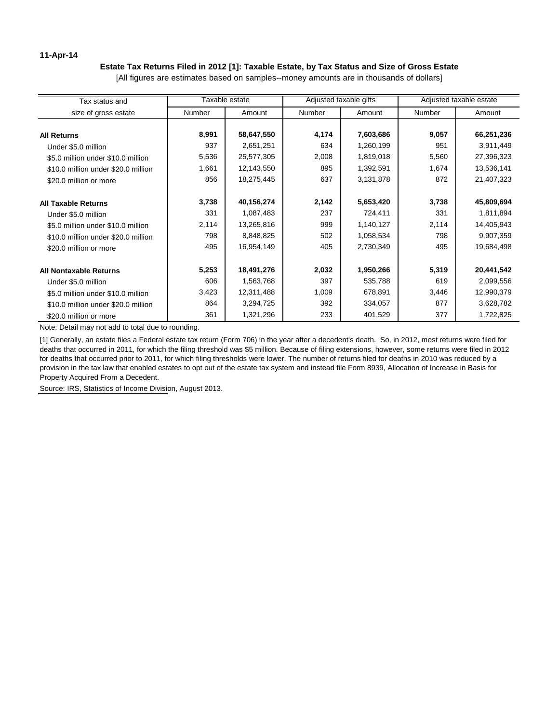## **11-Apr-14**

# **Estate Tax Returns Filed in 2012 [1]: Taxable Estate, by Tax Status and Size of Gross Estate**

[All figures are estimates based on samples--money amounts are in thousands of dollars]

| Tax status and                      |        | Taxable estate |        | Adjusted taxable gifts |        | Adjusted taxable estate |  |
|-------------------------------------|--------|----------------|--------|------------------------|--------|-------------------------|--|
| size of gross estate                | Number | Amount         | Number | Amount                 | Number | Amount                  |  |
|                                     |        |                |        |                        |        |                         |  |
| <b>All Returns</b>                  | 8,991  | 58,647,550     | 4,174  | 7,603,686              | 9,057  | 66,251,236              |  |
| Under \$5.0 million                 | 937    | 2,651,251      | 634    | 1,260,199              | 951    | 3,911,449               |  |
| \$5.0 million under \$10.0 million  | 5,536  | 25,577,305     | 2,008  | 1,819,018              | 5,560  | 27,396,323              |  |
| \$10.0 million under \$20.0 million | 1,661  | 12,143,550     | 895    | 1,392,591              | 1,674  | 13,536,141              |  |
| \$20.0 million or more              | 856    | 18,275,445     | 637    | 3,131,878              | 872    | 21,407,323              |  |
| <b>All Taxable Returns</b>          | 3,738  | 40,156,274     | 2,142  | 5,653,420              | 3,738  | 45,809,694              |  |
| Under \$5.0 million                 | 331    | 1,087,483      | 237    | 724,411                | 331    | 1,811,894               |  |
| \$5.0 million under \$10.0 million  | 2,114  | 13,265,816     | 999    | 1,140,127              | 2,114  | 14,405,943              |  |
| \$10.0 million under \$20.0 million | 798    | 8,848,825      | 502    | 1,058,534              | 798    | 9,907,359               |  |
| \$20.0 million or more              | 495    | 16,954,149     | 405    | 2,730,349              | 495    | 19,684,498              |  |
| <b>All Nontaxable Returns</b>       | 5,253  | 18,491,276     | 2,032  | 1,950,266              | 5,319  | 20,441,542              |  |
| Under \$5.0 million                 | 606    | 1,563,768      | 397    | 535,788                | 619    | 2,099,556               |  |
| \$5.0 million under \$10.0 million  | 3,423  | 12,311,488     | 1,009  | 678,891                | 3,446  | 12,990,379              |  |
| \$10.0 million under \$20.0 million | 864    | 3,294,725      | 392    | 334,057                | 877    | 3,628,782               |  |
| \$20.0 million or more              | 361    | 1,321,296      | 233    | 401,529                | 377    | 1,722,825               |  |

Note: Detail may not add to total due to rounding.

[1] Generally, an estate files a Federal estate tax return (Form 706) in the year after a decedent's death. So, in 2012, most returns were filed for deaths that occurred in 2011, for which the filing threshold was \$5 million. Because of filing extensions, however, some returns were filed in 2012 for deaths that occurred prior to 2011, for which filing thresholds were lower. The number of returns filed for deaths in 2010 was reduced by a provision in the tax law that enabled estates to opt out of the estate tax system and instead file Form 8939, Allocation of Increase in Basis for Property Acquired From a Decedent.

Source: IRS, Statistics of Income Division, August 2013.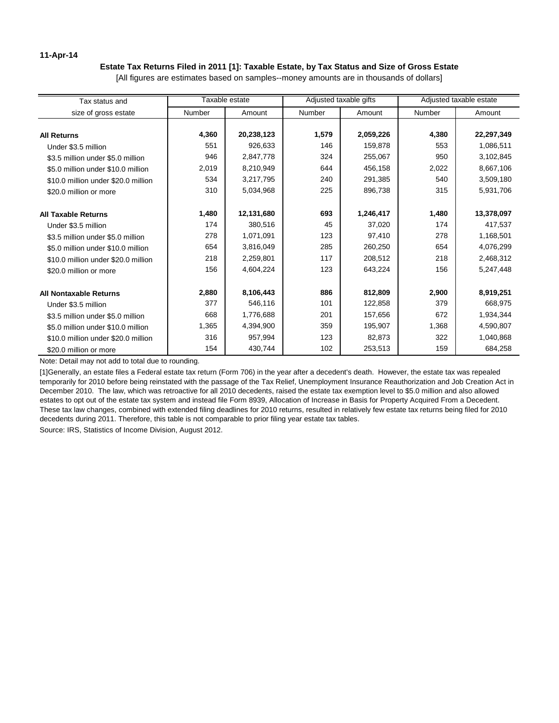### **11-Apr-14**

### **Estate Tax Returns Filed in 2011 [1]: Taxable Estate, by Tax Status and Size of Gross Estate**

[All figures are estimates based on samples--money amounts are in thousands of dollars]

| Tax status and                      |               | Taxable estate | Adjusted taxable gifts |           | Adjusted taxable estate |            |
|-------------------------------------|---------------|----------------|------------------------|-----------|-------------------------|------------|
| size of gross estate                | <b>Number</b> | Amount         | Number                 | Amount    | Number                  | Amount     |
| <b>All Returns</b>                  | 4,360         | 20,238,123     | 1,579                  | 2,059,226 | 4,380                   | 22,297,349 |
| Under \$3.5 million                 | 551           | 926,633        | 146                    | 159,878   | 553                     | 1,086,511  |
| \$3.5 million under \$5.0 million   | 946           | 2,847,778      | 324                    | 255,067   | 950                     | 3,102,845  |
| \$5.0 million under \$10.0 million  | 2,019         | 8,210,949      | 644                    | 456,158   | 2,022                   | 8,667,106  |
| \$10.0 million under \$20.0 million | 534           | 3,217,795      | 240                    | 291,385   | 540                     | 3,509,180  |
| \$20.0 million or more              | 310           | 5,034,968      | 225                    | 896,738   | 315                     | 5,931,706  |
| <b>All Taxable Returns</b>          | 1,480         | 12,131,680     | 693                    | 1,246,417 | 1,480                   | 13,378,097 |
| Under \$3.5 million                 | 174           | 380,516        | 45                     | 37,020    | 174                     | 417,537    |
| \$3.5 million under \$5.0 million   | 278           | 1,071,091      | 123                    | 97,410    | 278                     | 1,168,501  |
| \$5.0 million under \$10.0 million  | 654           | 3,816,049      | 285                    | 260,250   | 654                     | 4,076,299  |
| \$10.0 million under \$20.0 million | 218           | 2,259,801      | 117                    | 208,512   | 218                     | 2,468,312  |
| \$20.0 million or more              | 156           | 4,604,224      | 123                    | 643,224   | 156                     | 5,247,448  |
| <b>All Nontaxable Returns</b>       | 2,880         | 8,106,443      | 886                    | 812,809   | 2,900                   | 8,919,251  |
| Under \$3.5 million                 | 377           | 546,116        | 101                    | 122,858   | 379                     | 668,975    |
| \$3.5 million under \$5.0 million   | 668           | 1,776,688      | 201                    | 157,656   | 672                     | 1,934,344  |
| \$5.0 million under \$10.0 million  | 1,365         | 4,394,900      | 359                    | 195,907   | 1,368                   | 4,590,807  |
| \$10.0 million under \$20.0 million | 316           | 957,994        | 123                    | 82,873    | 322                     | 1,040,868  |
| \$20.0 million or more              | 154           | 430,744        | 102                    | 253,513   | 159                     | 684,258    |

Note: Detail may not add to total due to rounding.

[1]Generally, an estate files a Federal estate tax return (Form 706) in the year after a decedent's death. However, the estate tax was repealed temporarily for 2010 before being reinstated with the passage of the Tax Relief, Unemployment Insurance Reauthorization and Job Creation Act in December 2010. The law, which was retroactive for all 2010 decedents, raised the estate tax exemption level to \$5.0 million and also allowed estates to opt out of the estate tax system and instead file Form 8939, Allocation of Increase in Basis for Property Acquired From a Decedent. These tax law changes, combined with extended filing deadlines for 2010 returns, resulted in relatively few estate tax returns being filed for 2010 decedents during 2011. Therefore, this table is not comparable to prior filing year estate tax tables.

Source: IRS, Statistics of Income Division, August 2012.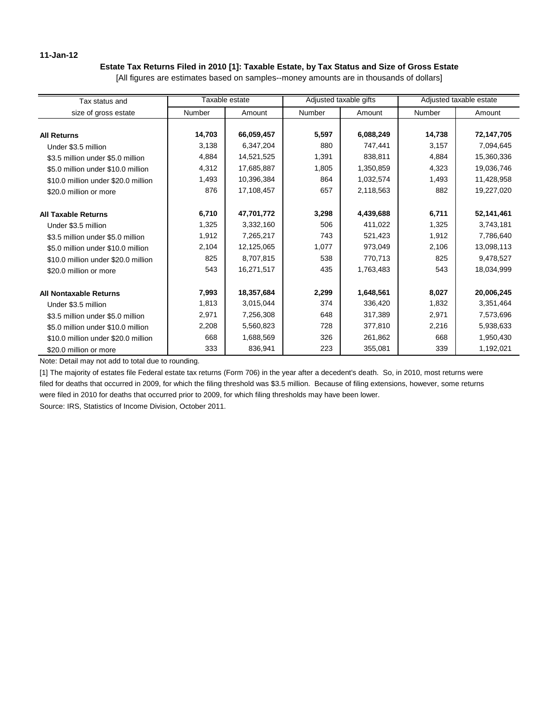## **11-Jan-12**

# **Estate Tax Returns Filed in 2010 [1]: Taxable Estate, by Tax Status and Size of Gross Estate**

[All figures are estimates based on samples--money amounts are in thousands of dollars]

| Tax status and                      |        | Taxable estate | Adjusted taxable gifts |           | Adjusted taxable estate |            |
|-------------------------------------|--------|----------------|------------------------|-----------|-------------------------|------------|
| size of gross estate                | Number | Amount         | <b>Number</b>          | Amount    | <b>Number</b>           | Amount     |
| <b>All Returns</b>                  | 14,703 | 66,059,457     | 5,597                  | 6,088,249 | 14,738                  | 72,147,705 |
| Under \$3.5 million                 | 3,138  | 6,347,204      | 880                    | 747,441   | 3,157                   | 7,094,645  |
| \$3.5 million under \$5.0 million   | 4,884  | 14,521,525     | 1,391                  | 838,811   | 4,884                   | 15,360,336 |
| \$5.0 million under \$10.0 million  | 4,312  | 17,685,887     | 1,805                  | 1,350,859 | 4,323                   | 19,036,746 |
| \$10.0 million under \$20.0 million | 1,493  | 10,396,384     | 864                    | 1,032,574 | 1,493                   | 11,428,958 |
| \$20.0 million or more              | 876    | 17,108,457     | 657                    | 2,118,563 | 882                     | 19,227,020 |
| <b>All Taxable Returns</b>          | 6,710  | 47,701,772     | 3,298                  | 4,439,688 | 6,711                   | 52,141,461 |
| Under \$3.5 million                 | 1,325  | 3,332,160      | 506                    | 411,022   | 1,325                   | 3,743,181  |
| \$3.5 million under \$5.0 million   | 1,912  | 7,265,217      | 743                    | 521,423   | 1,912                   | 7,786,640  |
| \$5.0 million under \$10.0 million  | 2,104  | 12,125,065     | 1,077                  | 973,049   | 2,106                   | 13,098,113 |
| \$10.0 million under \$20.0 million | 825    | 8,707,815      | 538                    | 770,713   | 825                     | 9,478,527  |
| \$20.0 million or more              | 543    | 16,271,517     | 435                    | 1,763,483 | 543                     | 18,034,999 |
| <b>All Nontaxable Returns</b>       | 7,993  | 18,357,684     | 2,299                  | 1,648,561 | 8,027                   | 20,006,245 |
| Under \$3.5 million                 | 1,813  | 3,015,044      | 374                    | 336,420   | 1,832                   | 3,351,464  |
| \$3.5 million under \$5.0 million   | 2,971  | 7,256,308      | 648                    | 317,389   | 2,971                   | 7,573,696  |
| \$5.0 million under \$10.0 million  | 2,208  | 5,560,823      | 728                    | 377,810   | 2,216                   | 5,938,633  |
| \$10.0 million under \$20.0 million | 668    | 1,688,569      | 326                    | 261,862   | 668                     | 1,950,430  |
| \$20.0 million or more              | 333    | 836,941        | 223                    | 355,081   | 339                     | 1,192,021  |

Note: Detail may not add to total due to rounding.

[1] The majority of estates file Federal estate tax returns (Form 706) in the year after a decedent's death. So, in 2010, most returns were filed for deaths that occurred in 2009, for which the filing threshold was \$3.5 million. Because of filing extensions, however, some returns were filed in 2010 for deaths that occurred prior to 2009, for which filing thresholds may have been lower.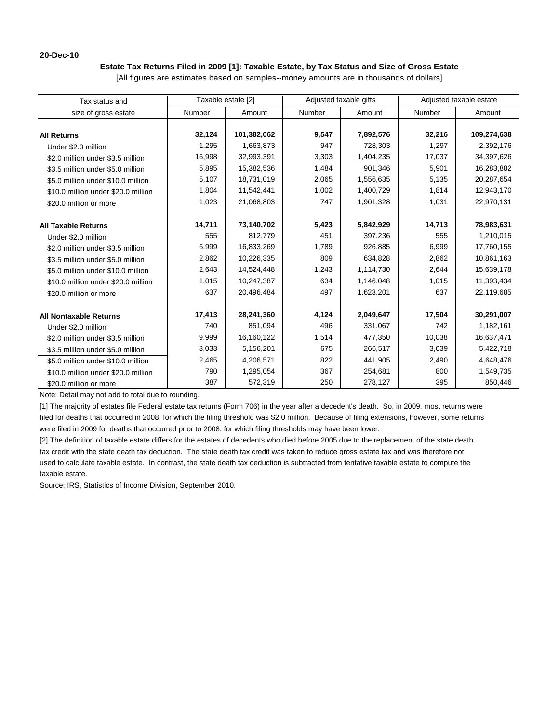### **20-Dec-10**

### **Estate Tax Returns Filed in 2009 [1]: Taxable Estate, by Tax Status and Size of Gross Estate**

[All figures are estimates based on samples--money amounts are in thousands of dollars]

| Tax status and                      |        | Taxable estate [2] | Adjusted taxable gifts |           | Adjusted taxable estate |             |
|-------------------------------------|--------|--------------------|------------------------|-----------|-------------------------|-------------|
| size of gross estate                | Number | Amount             | Number                 | Amount    | Number                  | Amount      |
|                                     |        |                    |                        |           |                         |             |
| <b>All Returns</b>                  | 32,124 | 101,382,062        | 9,547                  | 7,892,576 | 32,216                  | 109,274,638 |
| Under \$2.0 million                 | 1,295  | 1,663,873          | 947                    | 728,303   | 1,297                   | 2,392,176   |
| \$2.0 million under \$3.5 million   | 16,998 | 32,993,391         | 3,303                  | 1,404,235 | 17,037                  | 34,397,626  |
| \$3.5 million under \$5.0 million   | 5,895  | 15,382,536         | 1,484                  | 901,346   | 5,901                   | 16,283,882  |
| \$5.0 million under \$10.0 million  | 5,107  | 18,731,019         | 2,065                  | 1,556,635 | 5,135                   | 20,287,654  |
| \$10.0 million under \$20.0 million | 1,804  | 11,542,441         | 1,002                  | 1,400,729 | 1,814                   | 12,943,170  |
| \$20.0 million or more              | 1,023  | 21,068,803         | 747                    | 1,901,328 | 1,031                   | 22,970,131  |
| <b>All Taxable Returns</b>          | 14,711 | 73,140,702         | 5,423                  | 5,842,929 | 14,713                  | 78,983,631  |
| Under \$2.0 million                 | 555    | 812,779            | 451                    | 397,236   | 555                     | 1,210,015   |
| \$2.0 million under \$3.5 million   | 6,999  | 16,833,269         | 1,789                  | 926,885   | 6,999                   | 17,760,155  |
| \$3.5 million under \$5.0 million   | 2,862  | 10,226,335         | 809                    | 634,828   | 2,862                   | 10,861,163  |
| \$5.0 million under \$10.0 million  | 2,643  | 14,524,448         | 1,243                  | 1,114,730 | 2,644                   | 15,639,178  |
| \$10.0 million under \$20.0 million | 1,015  | 10,247,387         | 634                    | 1,146,048 | 1,015                   | 11,393,434  |
| \$20.0 million or more              | 637    | 20,496,484         | 497                    | 1,623,201 | 637                     | 22,119,685  |
| <b>All Nontaxable Returns</b>       | 17,413 | 28,241,360         | 4,124                  | 2,049,647 | 17,504                  | 30,291,007  |
| Under \$2.0 million                 | 740    | 851,094            | 496                    | 331,067   | 742                     | 1,182,161   |
| \$2.0 million under \$3.5 million   | 9,999  | 16,160,122         | 1,514                  | 477,350   | 10,038                  | 16,637,471  |
| \$3.5 million under \$5.0 million   | 3,033  | 5,156,201          | 675                    | 266,517   | 3,039                   | 5,422,718   |
| \$5.0 million under \$10.0 million  | 2,465  | 4,206,571          | 822                    | 441,905   | 2,490                   | 4,648,476   |
| \$10.0 million under \$20.0 million | 790    | 1,295,054          | 367                    | 254,681   | 800                     | 1,549,735   |
| \$20.0 million or more              | 387    | 572,319            | 250                    | 278,127   | 395                     | 850,446     |

Note: Detail may not add to total due to rounding.

[1] The majority of estates file Federal estate tax returns (Form 706) in the year after a decedent's death. So, in 2009, most returns were filed for deaths that occurred in 2008, for which the filing threshold was \$2.0 million. Because of filing extensions, however, some returns were filed in 2009 for deaths that occurred prior to 2008, for which filing thresholds may have been lower.

[2] The definition of taxable estate differs for the estates of decedents who died before 2005 due to the replacement of the state death tax credit with the state death tax deduction. The state death tax credit was taken to reduce gross estate tax and was therefore not used to calculate taxable estate. In contrast, the state death tax deduction is subtracted from tentative taxable estate to compute the taxable estate.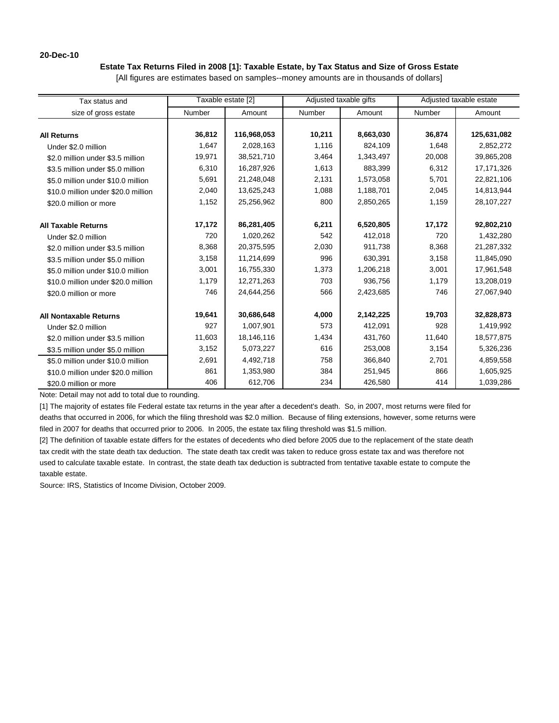### **20-Dec-10**

### **Estate Tax Returns Filed in 2008 [1]: Taxable Estate, by Tax Status and Size of Gross Estate**

[All figures are estimates based on samples--money amounts are in thousands of dollars]

| Tax status and                      |        | Taxable estate [2] |               | Adjusted taxable gifts | Adjusted taxable estate |              |
|-------------------------------------|--------|--------------------|---------------|------------------------|-------------------------|--------------|
| size of gross estate                | Number | Amount             | <b>Number</b> | Amount                 | Number                  | Amount       |
|                                     |        |                    |               |                        |                         |              |
| <b>All Returns</b>                  | 36,812 | 116,968,053        | 10,211        | 8,663,030              | 36,874                  | 125,631,082  |
| Under \$2.0 million                 | 1,647  | 2,028,163          | 1,116         | 824,109                | 1,648                   | 2,852,272    |
| \$2.0 million under \$3.5 million   | 19,971 | 38,521,710         | 3,464         | 1,343,497              | 20,008                  | 39,865,208   |
| \$3.5 million under \$5.0 million   | 6,310  | 16,287,926         | 1,613         | 883,399                | 6,312                   | 17,171,326   |
| \$5.0 million under \$10.0 million  | 5,691  | 21,248,048         | 2,131         | 1,573,058              | 5,701                   | 22,821,106   |
| \$10.0 million under \$20.0 million | 2,040  | 13,625,243         | 1,088         | 1,188,701              | 2,045                   | 14,813,944   |
| \$20.0 million or more              | 1,152  | 25,256,962         | 800           | 2,850,265              | 1,159                   | 28, 107, 227 |
| <b>All Taxable Returns</b>          | 17,172 | 86,281,405         | 6,211         | 6,520,805              | 17,172                  | 92,802,210   |
| Under \$2.0 million                 | 720    | 1,020,262          | 542           | 412,018                | 720                     | 1,432,280    |
| \$2.0 million under \$3.5 million   | 8,368  | 20,375,595         | 2,030         | 911,738                | 8,368                   | 21,287,332   |
| \$3.5 million under \$5.0 million   | 3,158  | 11,214,699         | 996           | 630,391                | 3,158                   | 11,845,090   |
| \$5.0 million under \$10.0 million  | 3,001  | 16,755,330         | 1,373         | 1,206,218              | 3,001                   | 17,961,548   |
| \$10.0 million under \$20.0 million | 1,179  | 12,271,263         | 703           | 936,756                | 1,179                   | 13,208,019   |
| \$20.0 million or more              | 746    | 24,644,256         | 566           | 2,423,685              | 746                     | 27,067,940   |
| <b>All Nontaxable Returns</b>       | 19,641 | 30,686,648         | 4,000         | 2,142,225              | 19,703                  | 32,828,873   |
| Under \$2.0 million                 | 927    | 1,007,901          | 573           | 412,091                | 928                     | 1,419,992    |
| \$2.0 million under \$3.5 million   | 11,603 | 18,146,116         | 1,434         | 431,760                | 11,640                  | 18,577,875   |
| \$3.5 million under \$5.0 million   | 3,152  | 5,073,227          | 616           | 253,008                | 3,154                   | 5,326,236    |
| \$5.0 million under \$10.0 million  | 2,691  | 4,492,718          | 758           | 366,840                | 2,701                   | 4,859,558    |
| \$10.0 million under \$20.0 million | 861    | 1,353,980          | 384           | 251,945                | 866                     | 1,605,925    |
| \$20.0 million or more              | 406    | 612,706            | 234           | 426,580                | 414                     | 1,039,286    |

Note: Detail may not add to total due to rounding.

[1] The majority of estates file Federal estate tax returns in the year after a decedent's death. So, in 2007, most returns were filed for deaths that occurred in 2006, for which the filing threshold was \$2.0 million. Because of filing extensions, however, some returns were filed in 2007 for deaths that occurred prior to 2006. In 2005, the estate tax filing threshold was \$1.5 million.

[2] The definition of taxable estate differs for the estates of decedents who died before 2005 due to the replacement of the state death tax credit with the state death tax deduction. The state death tax credit was taken to reduce gross estate tax and was therefore not used to calculate taxable estate. In contrast, the state death tax deduction is subtracted from tentative taxable estate to compute the taxable estate.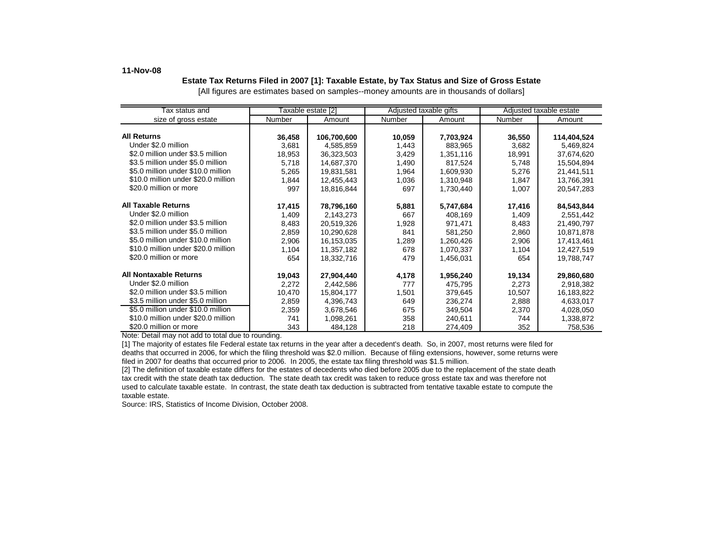### **11-Nov-08**

### **Estate Tax Returns Filed in 2007 [1]: Taxable Estate, by Tax Status and Size of Gross Estate** [All figures are estimates based on samples--money amounts are in thousands of dollars]

| Tax status and                      |        | Taxable estate [2] |        | Adjusted taxable gifts |        | Adjusted taxable estate |
|-------------------------------------|--------|--------------------|--------|------------------------|--------|-------------------------|
| size of gross estate                | Number | Amount             | Number | Amount                 | Number | Amount                  |
|                                     |        |                    |        |                        |        |                         |
| <b>All Returns</b>                  | 36,458 | 106,700,600        | 10,059 | 7,703,924              | 36,550 | 114,404,524             |
| Under \$2.0 million                 | 3,681  | 4,585,859          | 1,443  | 883,965                | 3,682  | 5,469,824               |
| \$2.0 million under \$3.5 million   | 18,953 | 36,323,503         | 3,429  | 1,351,116              | 18,991 | 37,674,620              |
| \$3.5 million under \$5.0 million   | 5,718  | 14,687,370         | 1,490  | 817,524                | 5,748  | 15,504,894              |
| \$5.0 million under \$10.0 million  | 5,265  | 19,831,581         | 1,964  | 1,609,930              | 5,276  | 21,441,511              |
| \$10.0 million under \$20.0 million | 1,844  | 12,455,443         | 1,036  | 1,310,948              | 1,847  | 13,766,391              |
| \$20.0 million or more              | 997    | 18,816,844         | 697    | 1,730,440              | 1,007  | 20,547,283              |
|                                     |        |                    |        |                        |        |                         |
| <b>All Taxable Returns</b>          | 17,415 | 78,796,160         | 5,881  | 5,747,684              | 17,416 | 84,543,844              |
| Under \$2.0 million                 | 1,409  | 2,143,273          | 667    | 408,169                | 1,409  | 2,551,442               |
| \$2.0 million under \$3.5 million   | 8,483  | 20,519,326         | 1,928  | 971,471                | 8,483  | 21,490,797              |
| \$3.5 million under \$5.0 million   | 2,859  | 10,290,628         | 841    | 581,250                | 2,860  | 10,871,878              |
| \$5.0 million under \$10.0 million  | 2,906  | 16,153,035         | 1,289  | 1,260,426              | 2,906  | 17,413,461              |
| \$10.0 million under \$20.0 million | 1,104  | 11,357,182         | 678    | 1,070,337              | 1,104  | 12,427,519              |
| \$20.0 million or more              | 654    | 18,332,716         | 479    | 1,456,031              | 654    | 19,788,747              |
|                                     |        |                    |        |                        |        |                         |
| <b>All Nontaxable Returns</b>       | 19,043 | 27,904,440         | 4,178  | 1,956,240              | 19,134 | 29,860,680              |
| Under \$2.0 million                 | 2,272  | 2,442,586          | 777    | 475,795                | 2,273  | 2,918,382               |
| \$2.0 million under \$3.5 million   | 10,470 | 15,804,177         | 1,501  | 379,645                | 10,507 | 16,183,822              |
| \$3.5 million under \$5.0 million   | 2,859  | 4,396,743          | 649    | 236,274                | 2,888  | 4,633,017               |
| \$5.0 million under \$10.0 million  | 2,359  | 3,678,546          | 675    | 349,504                | 2,370  | 4,028,050               |
| \$10.0 million under \$20.0 million | 741    | 1,098,261          | 358    | 240,611                | 744    | 1,338,872               |
| \$20.0 million or more              | 343    | 484,128            | 218    | 274,409                | 352    | 758,536                 |

Note: Detail may not add to total due to rounding.

[1] The majority of estates file Federal estate tax returns in the year after a decedent's death. So, in 2007, most returns were filed for deaths that occurred in 2006, for which the filing threshold was \$2.0 million. Because of filing extensions, however, some returns were filed in 2007 for deaths that occurred prior to 2006. In 2005, the estate tax filing threshold was \$1.5 million.

[2] The definition of taxable estate differs for the estates of decedents who died before 2005 due to the replacement of the state death tax credit with the state death tax deduction. The state death tax credit was taken to reduce gross estate tax and was therefore not used to calculate taxable estate. In contrast, the state death tax deduction is subtracted from tentative taxable estate to compute the taxable estate.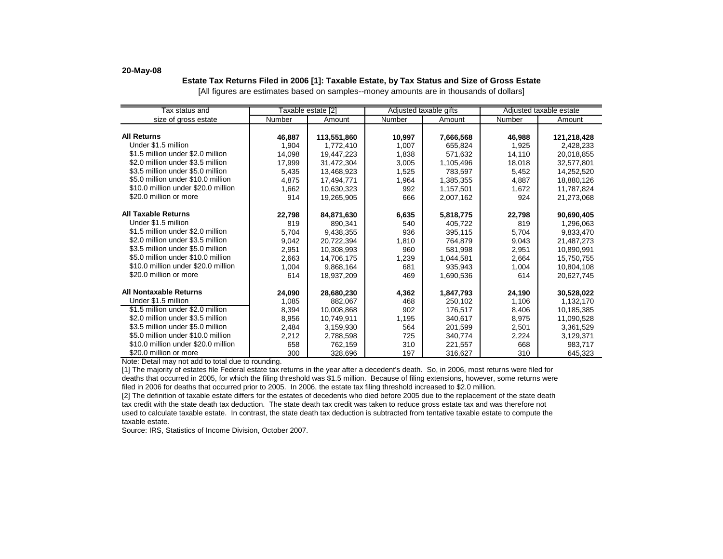#### **20-May-08**

### **Estate Tax Returns Filed in 2006 [1]: Taxable Estate, by Tax Status and Size of Gross Estate** [All figures are estimates based on samples--money amounts are in thousands of dollars]

| Tax status and                      |        | Taxable estate [2] |        | Adjusted taxable gifts |        | Adjusted taxable estate |
|-------------------------------------|--------|--------------------|--------|------------------------|--------|-------------------------|
| size of gross estate                | Number | Amount             | Number | Amount                 | Number | Amount                  |
|                                     |        |                    |        |                        |        |                         |
| <b>All Returns</b>                  | 46.887 | 113,551,860        | 10.997 | 7,666,568              | 46.988 | 121,218,428             |
| Under \$1.5 million                 | 1,904  | 1,772,410          | 1,007  | 655.824                | 1.925  | 2,428,233               |
| \$1.5 million under \$2.0 million   | 14.098 | 19.447.223         | 1,838  | 571.632                | 14,110 | 20.018.855              |
| \$2.0 million under \$3.5 million   | 17,999 | 31,472,304         | 3,005  | 1,105,496              | 18,018 | 32,577,801              |
| \$3.5 million under \$5.0 million   | 5,435  | 13,468,923         | 1,525  | 783,597                | 5,452  | 14,252,520              |
| \$5.0 million under \$10.0 million  | 4.875  | 17,494,771         | 1,964  | 1,385,355              | 4,887  | 18,880,126              |
| \$10.0 million under \$20.0 million | 1,662  | 10,630,323         | 992    | 1,157,501              | 1,672  | 11,787,824              |
| \$20.0 million or more              | 914    | 19,265,905         | 666    | 2,007,162              | 924    | 21,273,068              |
|                                     |        |                    |        |                        |        |                         |
| <b>All Taxable Returns</b>          | 22,798 | 84,871,630         | 6,635  | 5,818,775              | 22,798 | 90,690,405              |
| Under \$1.5 million                 | 819    | 890.341            | 540    | 405.722                | 819    | 1,296,063               |
| \$1.5 million under \$2.0 million   | 5,704  | 9,438,355          | 936    | 395,115                | 5,704  | 9,833,470               |
| \$2.0 million under \$3.5 million   | 9,042  | 20,722,394         | 1,810  | 764,879                | 9,043  | 21,487,273              |
| \$3.5 million under \$5.0 million   | 2,951  | 10.308.993         | 960    | 581.998                | 2,951  | 10.890.991              |
| \$5.0 million under \$10.0 million  | 2,663  | 14,706,175         | 1,239  | 1.044.581              | 2,664  | 15,750,755              |
| \$10.0 million under \$20.0 million | 1,004  | 9,868,164          | 681    | 935.943                | 1,004  | 10,804,108              |
| \$20.0 million or more              | 614    | 18,937,209         | 469    | 1,690,536              | 614    | 20,627,745              |
|                                     |        |                    |        |                        |        |                         |
| All Nontaxable Returns              | 24.090 | 28,680,230         | 4,362  | 1,847,793              | 24.190 | 30,528,022              |
| Under \$1.5 million                 | 1,085  | 882,067            | 468    | 250,102                | 1,106  | 1,132,170               |
| \$1.5 million under \$2.0 million   | 8,394  | 10,008,868         | 902    | 176,517                | 8,406  | 10,185,385              |
| \$2.0 million under \$3.5 million   | 8,956  | 10,749,911         | 1,195  | 340.617                | 8,975  | 11.090.528              |
| \$3.5 million under \$5.0 million   | 2,484  | 3,159,930          | 564    | 201,599                | 2,501  | 3,361,529               |
| \$5.0 million under \$10.0 million  | 2,212  | 2,788,598          | 725    | 340.774                | 2,224  | 3,129,371               |
| \$10.0 million under \$20.0 million | 658    | 762,159            | 310    | 221.557                | 668    | 983.717                 |
| \$20.0 million or more              | 300    | 328,696            | 197    | 316,627                | 310    | 645,323                 |

Note: Detail may not add to total due to rounding.

[1] The majority of estates file Federal estate tax returns in the year after a decedent's death. So, in 2006, most returns were filed for deaths that occurred in 2005, for which the filing threshold was \$1.5 million. Because of filing extensions, however, some returns were filed in 2006 for deaths that occurred prior to 2005. In 2006, the estate tax filing threshold increased to \$2.0 million.

[2] The definition of taxable estate differs for the estates of decedents who died before 2005 due to the replacement of the state death tax credit with the state death tax deduction. The state death tax credit was taken to reduce gross estate tax and was therefore not used to calculate taxable estate. In contrast, the state death tax deduction is subtracted from tentative taxable estate to compute the taxable estate.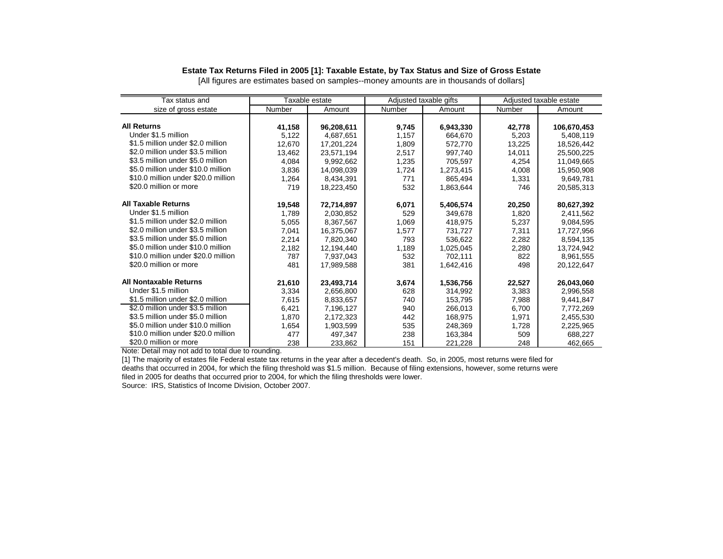# **Estate Tax Returns Filed in 2005 [1]: Taxable Estate, by Tax Status and Size of Gross Estate**

[All figures are estimates based on samples--money amounts are in thousands of dollars]

| Tax status and                      |        | Taxable estate |        | Adjusted taxable gifts | Adjusted taxable estate |             |
|-------------------------------------|--------|----------------|--------|------------------------|-------------------------|-------------|
| size of gross estate                | Number | Amount         | Number | Amount                 | Number                  | Amount      |
|                                     |        |                |        |                        |                         |             |
| <b>All Returns</b>                  | 41,158 | 96,208,611     | 9,745  | 6,943,330              | 42,778                  | 106,670,453 |
| Under \$1.5 million                 | 5,122  | 4.687.651      | 1,157  | 664.670                | 5,203                   | 5,408,119   |
| \$1.5 million under \$2.0 million   | 12,670 | 17.201.224     | 1,809  | 572.770                | 13,225                  | 18,526,442  |
| \$2.0 million under \$3.5 million   | 13,462 | 23,571,194     | 2,517  | 997,740                | 14,011                  | 25,500,225  |
| \$3.5 million under \$5.0 million   | 4,084  | 9,992,662      | 1,235  | 705,597                | 4,254                   | 11,049,665  |
| \$5.0 million under \$10.0 million  | 3,836  | 14.098.039     | 1,724  | 1,273,415              | 4,008                   | 15,950,908  |
| \$10.0 million under \$20.0 million | 1,264  | 8.434.391      | 771    | 865.494                | 1,331                   | 9,649,781   |
| \$20.0 million or more              | 719    | 18,223,450     | 532    | 1,863,644              | 746                     | 20,585,313  |
|                                     |        |                |        |                        |                         |             |
| <b>All Taxable Returns</b>          | 19,548 | 72,714,897     | 6,071  | 5,406,574              | 20,250                  | 80,627,392  |
| Under \$1.5 million                 | 1,789  | 2,030,852      | 529    | 349.678                | 1,820                   | 2,411,562   |
| \$1.5 million under \$2.0 million   | 5,055  | 8,367,567      | 1,069  | 418,975                | 5,237                   | 9,084,595   |
| \$2.0 million under \$3.5 million   | 7,041  | 16.375.067     | 1,577  | 731.727                | 7.311                   | 17,727,956  |
| \$3.5 million under \$5.0 million   | 2,214  | 7.820.340      | 793    | 536.622                | 2,282                   | 8.594.135   |
| \$5.0 million under \$10.0 million  | 2,182  | 12,194,440     | 1,189  | 1,025,045              | 2,280                   | 13,724,942  |
| \$10.0 million under \$20.0 million | 787    | 7,937,043      | 532    | 702,111                | 822                     | 8,961,555   |
| \$20.0 million or more              | 481    | 17,989,588     | 381    | 1,642,416              | 498                     | 20,122,647  |
|                                     |        |                |        |                        |                         |             |
| <b>All Nontaxable Returns</b>       | 21,610 | 23,493,714     | 3,674  | 1,536,756              | 22,527                  | 26,043,060  |
| Under \$1.5 million                 | 3.334  | 2.656.800      | 628    | 314.992                | 3.383                   | 2,996,558   |
| \$1.5 million under \$2.0 million   | 7,615  | 8,833,657      | 740    | 153,795                | 7,988                   | 9,441,847   |
| \$2.0 million under \$3.5 million   | 6,421  | 7,196,127      | 940    | 266,013                | 6,700                   | 7,772,269   |
| \$3.5 million under \$5.0 million   | 1,870  | 2,172,323      | 442    | 168,975                | 1,971                   | 2,455,530   |
| \$5.0 million under \$10.0 million  | 1.654  | 1,903,599      | 535    | 248,369                | 1,728                   | 2,225,965   |
| \$10.0 million under \$20.0 million | 477    | 497.347        | 238    | 163,384                | 509                     | 688,227     |
| \$20.0 million or more              | 238    | 233,862        | 151    | 221,228                | 248                     | 462,665     |

Note: Detail may not add to total due to rounding.

[1] The majority of estates file Federal estate tax returns in the year after a decedent's death. So, in 2005, most returns were filed for deaths that occurred in 2004, for which the filing threshold was \$1.5 million. Because of filing extensions, however, some returns were filed in 2005 for deaths that occurred prior to 2004, for which the filing thresholds were lower.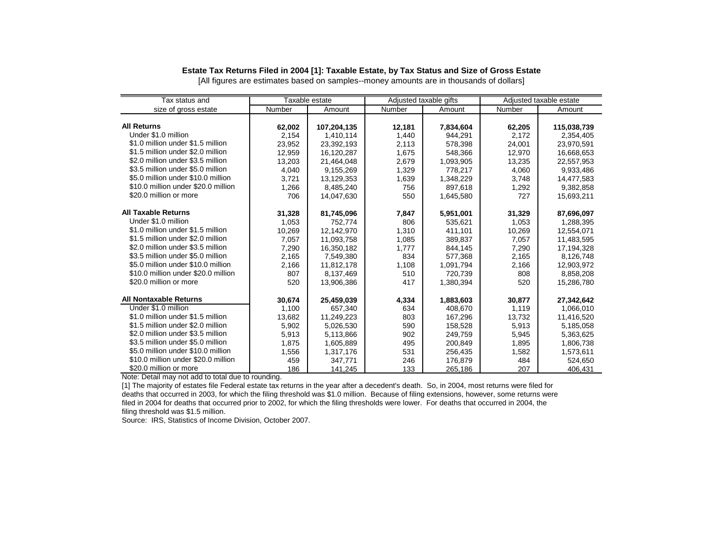# **Estate Tax Returns Filed in 2004 [1]: Taxable Estate, by Tax Status and Size of Gross Estate**

[All figures are estimates based on samples--money amounts are in thousands of dollars]

| Tax status and                      |        | Taxable estate |        | Adjusted taxable gifts |        | Adjusted taxable estate |
|-------------------------------------|--------|----------------|--------|------------------------|--------|-------------------------|
| size of gross estate                | Number | Amount         | Number | Amount                 | Number | Amount                  |
|                                     |        |                |        |                        |        |                         |
| <b>All Returns</b>                  | 62,002 | 107,204,135    | 12,181 | 7,834,604              | 62,205 | 115,038,739             |
| Under \$1.0 million                 | 2,154  | 1,410,114      | 1,440  | 944,291                | 2,172  | 2,354,405               |
| \$1.0 million under \$1.5 million   | 23,952 | 23,392,193     | 2,113  | 578,398                | 24,001 | 23,970,591              |
| \$1.5 million under \$2.0 million   | 12,959 | 16,120,287     | 1,675  | 548,366                | 12,970 | 16,668,653              |
| \$2.0 million under \$3.5 million   | 13,203 | 21,464,048     | 2,679  | 1,093,905              | 13,235 | 22,557,953              |
| \$3.5 million under \$5.0 million   | 4.040  | 9,155,269      | 1,329  | 778.217                | 4.060  | 9,933,486               |
| \$5.0 million under \$10.0 million  | 3,721  | 13,129,353     | 1,639  | 1,348,229              | 3,748  | 14,477,583              |
| \$10.0 million under \$20.0 million | 1,266  | 8.485.240      | 756    | 897.618                | 1,292  | 9.382.858               |
| \$20.0 million or more              | 706    | 14,047,630     | 550    | 1,645,580              | 727    | 15,693,211              |
|                                     |        |                |        |                        |        |                         |
| <b>All Taxable Returns</b>          | 31,328 | 81,745,096     | 7,847  | 5.951.001              | 31,329 | 87.696.097              |
| Under \$1.0 million                 | 1,053  | 752.774        | 806    | 535.621                | 1,053  | 1,288,395               |
| \$1.0 million under \$1.5 million   | 10,269 | 12.142.970     | 1,310  | 411.101                | 10,269 | 12.554.071              |
| \$1.5 million under \$2.0 million   | 7,057  | 11,093,758     | 1,085  | 389,837                | 7,057  | 11,483,595              |
| \$2.0 million under \$3.5 million   | 7.290  | 16,350,182     | 1.777  | 844,145                | 7,290  | 17,194,328              |
| \$3.5 million under \$5.0 million   | 2,165  | 7,549,380      | 834    | 577,368                | 2,165  | 8,126,748               |
| \$5.0 million under \$10.0 million  | 2,166  | 11,812,178     | 1,108  | 1,091,794              | 2,166  | 12,903,972              |
| \$10.0 million under \$20.0 million | 807    | 8,137,469      | 510    | 720,739                | 808    | 8,858,208               |
| \$20.0 million or more              | 520    | 13,906,386     | 417    | 1,380,394              | 520    | 15,286,780              |
|                                     |        |                |        |                        |        |                         |
| <b>All Nontaxable Returns</b>       | 30,674 | 25,459,039     | 4,334  | 1,883,603              | 30,877 | 27,342,642              |
| Under \$1.0 million                 | 1,100  | 657.340        | 634    | 408.670                | 1,119  | 1,066,010               |
| \$1.0 million under \$1.5 million   | 13,682 | 11,249,223     | 803    | 167,296                | 13,732 | 11,416,520              |
| \$1.5 million under \$2.0 million   | 5,902  | 5,026,530      | 590    | 158,528                | 5,913  | 5,185,058               |
| \$2.0 million under \$3.5 million   | 5,913  | 5,113,866      | 902    | 249,759                | 5,945  | 5,363,625               |
| \$3.5 million under \$5.0 million   | 1,875  | 1,605,889      | 495    | 200,849                | 1,895  | 1,806,738               |
| \$5.0 million under \$10.0 million  | 1,556  | 1,317,176      | 531    | 256,435                | 1,582  | 1,573,611               |
| \$10.0 million under \$20.0 million | 459    | 347,771        | 246    | 176,879                | 484    | 524,650                 |
| \$20.0 million or more              | 186    | 141,245        | 133    | 265,186                | 207    | 406,431                 |

Note: Detail may not add to total due to rounding.

[1] The majority of estates file Federal estate tax returns in the year after a decedent's death. So, in 2004, most returns were filed for deaths that occurred in 2003, for which the filing threshold was \$1.0 million. Because of filing extensions, however, some returns were filed in 2004 for deaths that occurred prior to 2002, for which the filing thresholds were lower. For deaths that occurred in 2004, the filing threshold was \$1.5 million.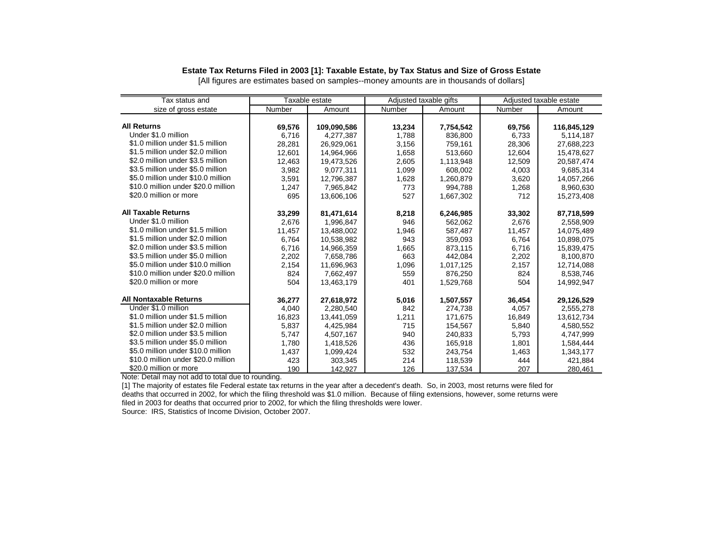# **Estate Tax Returns Filed in 2003 [1]: Taxable Estate, by Tax Status and Size of Gross Estate**

[All figures are estimates based on samples--money amounts are in thousands of dollars]

| Tax status and                      |        | Taxable estate |        | Adjusted taxable gifts |        | Adjusted taxable estate |
|-------------------------------------|--------|----------------|--------|------------------------|--------|-------------------------|
| size of gross estate                | Number | Amount         | Number | Amount                 | Number | Amount                  |
|                                     |        |                |        |                        |        |                         |
| <b>All Returns</b>                  | 69,576 | 109,090,586    | 13,234 | 7,754,542              | 69,756 | 116,845,129             |
| Under \$1.0 million                 | 6.716  | 4,277,387      | 1.788  | 836.800                | 6,733  | 5,114,187               |
| \$1.0 million under \$1.5 million   | 28,281 | 26,929,061     | 3,156  | 759,161                | 28,306 | 27,688,223              |
| \$1.5 million under \$2.0 million   | 12,601 | 14,964,966     | 1,658  | 513,660                | 12,604 | 15,478,627              |
| \$2.0 million under \$3.5 million   | 12.463 | 19,473,526     | 2,605  | 1,113,948              | 12,509 | 20,587,474              |
| \$3.5 million under \$5.0 million   | 3.982  | 9.077.311      | 1.099  | 608.002                | 4.003  | 9.685.314               |
| \$5.0 million under \$10.0 million  | 3,591  | 12,796,387     | 1,628  | 1,260,879              | 3,620  | 14,057,266              |
| \$10.0 million under \$20.0 million | 1,247  | 7,965,842      | 773    | 994,788                | 1,268  | 8,960,630               |
| \$20.0 million or more              | 695    | 13,606,106     | 527    | 1,667,302              | 712    | 15,273,408              |
|                                     |        |                |        |                        |        |                         |
| <b>All Taxable Returns</b>          | 33,299 | 81,471,614     | 8,218  | 6,246,985              | 33,302 | 87,718,599              |
| Under \$1.0 million                 | 2,676  | 1,996,847      | 946    | 562,062                | 2,676  | 2,558,909               |
| \$1.0 million under \$1.5 million   | 11,457 | 13.488.002     | 1,946  | 587,487                | 11,457 | 14,075,489              |
| \$1.5 million under \$2.0 million   | 6,764  | 10,538,982     | 943    | 359,093                | 6,764  | 10,898,075              |
| \$2.0 million under \$3.5 million   | 6.716  | 14,966,359     | 1,665  | 873,115                | 6.716  | 15,839,475              |
| \$3.5 million under \$5.0 million   | 2,202  | 7,658,786      | 663    | 442,084                | 2,202  | 8,100,870               |
| \$5.0 million under \$10.0 million  | 2,154  | 11,696,963     | 1,096  | 1,017,125              | 2,157  | 12,714,088              |
| \$10.0 million under \$20.0 million | 824    | 7,662,497      | 559    | 876,250                | 824    | 8,538,746               |
| \$20.0 million or more              | 504    | 13,463,179     | 401    | 1,529,768              | 504    | 14,992,947              |
|                                     |        |                |        |                        |        |                         |
| <b>All Nontaxable Returns</b>       | 36,277 | 27,618,972     | 5,016  | 1,507,557              | 36,454 | 29,126,529              |
| Under \$1.0 million                 | 4,040  | 2,280,540      | 842    | 274,738                | 4,057  | 2,555,278               |
| \$1.0 million under \$1.5 million   | 16,823 | 13,441,059     | 1,211  | 171,675                | 16,849 | 13,612,734              |
| \$1.5 million under \$2.0 million   | 5,837  | 4,425,984      | 715    | 154,567                | 5,840  | 4,580,552               |
| \$2.0 million under \$3.5 million   | 5.747  | 4,507,167      | 940    | 240,833                | 5,793  | 4,747,999               |
| \$3.5 million under \$5.0 million   | 1,780  | 1,418,526      | 436    | 165,918                | 1,801  | 1,584,444               |
| \$5.0 million under \$10.0 million  | 1,437  | 1,099,424      | 532    | 243,754                | 1,463  | 1,343,177               |
| \$10.0 million under \$20.0 million | 423    | 303,345        | 214    | 118,539                | 444    | 421,884                 |
| \$20.0 million or more              | 190    | 142,927        | 126    | 137,534                | 207    | 280.461                 |

Note: Detail may not add to total due to rounding.

[1] The majority of estates file Federal estate tax returns in the year after a decedent's death. So, in 2003, most returns were filed for deaths that occurred in 2002, for which the filing threshold was \$1.0 million. Because of filing extensions, however, some returns were filed in 2003 for deaths that occurred prior to 2002, for which the filing thresholds were lower.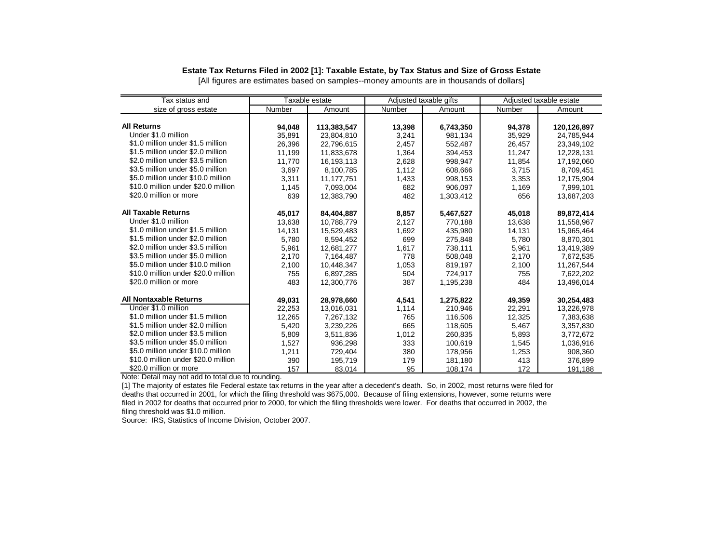#### **Estate Tax Returns Filed in 2002 [1]: Taxable Estate, by Tax Status and Size of Gross Estate**

Tax status and Taxable estate Adjusted taxable gifts Adjusted taxable estate size of gross estate **Number** | Amount | Number | Amount | Number | Amount **All Returns 94,048 113,383,547 13,398 6,743,350 94,378 120,126,897**  Under \$1.0 million 35,891 23,804,810 3,241 981,134 35,929 24,785,944 \$1.0 million under \$1.5 million 26,396 22,796,615 2,457 552,487 26,457 23,349,102 \$1.5 million under \$2.0 million | 11,199 | 11,833,678 | 1.364 394,453 | 11,247 | 12,228,131 \$2.0 million under \$3.5 million 11,770 16,193,113 2,628 998,947 11,854 17,192,060 \$3.5 million under \$5.0 million  $\begin{array}{|c|c|c|c|c|c|c|c|c|} \hline \text{3.697} & \text{3.697} & \text{3.100,785} & \text{1.112} \end{array}$ \$5.0 million under \$10.0 million 3,311 11,177,751 1,433 998,153 3,353 12,175,904 \$10.0 million under \$20.0 million 1,145 7,093,004 682 906,097 1,169 7,999,101 \$20.0 million or more 639 12,383,790 482 1,303,412 656 **All Taxable Returns 45,017 84,404,887 8,857 5,467,527 45,018 89,872,414**  Under \$1.0 million 13,638 10,788,779 2,127 770,188 13,638 11,558,967 \$1.0 million under \$1.5 million 14,131 15,529,483 1,692 435,980 14,131 15,965,464 \$1.5 million under \$2.0 million \$2.0 million under \$3.5 million 5,961 12,681,277 1,617 738,111 5,961 13,419,389 \$3.5 million under \$5.0 million <br>\$5.0 million under \$10.0 million <br>\$5.0 million under \$10.0 million <br>2,100 10,448,347 10,53 819,197 2,100 11,267,544 \$5.0 million under \$10.0 million \$10.0 million under \$20.0 million | 755 | 6,897,285 | 504 | 724,917 | 755 | 7,622,202 \$20.0 million or more 1.13,496,014 12,300,776 1.195,238 484 13,496,014 **All Nontaxable Returns 49,031 28,978,660 4,541 1,275,822 49,359 30,254,483**  Under \$1.0 million 22,253 13,016,031 1,114 210,946 22,291 13,226,978 \$1.0 million under \$1.5 million | 12,265 | 7,267,132 | 765 | 116,506 | 12,325 | 7,383,638 \$1.5 million under \$2.0 million 5,420 3,239,226 665 118,605 5,467 3,357,830 \$2.0 million under \$3.5 million 5,809 3,511,836 1,012 260,835 5,893 3,772,672 \$3.5 million under \$5.0 million 1,527 | 936,298 333 | 100,619 1,545 \$5.0 million under \$10.0 million 1,211 729,404 380 178,956 1,253 908,360 \$10.0 million under \$20.0 million 1 390 195,719 179 181,180 413 \$20.0 million or more 157 157 157 83,014 108,174 108,174 172 191,188

[All figures are estimates based on samples--money amounts are in thousands of dollars]

Note: Detail may not add to total due to rounding.

[1] The majority of estates file Federal estate tax returns in the year after a decedent's death. So, in 2002, most returns were filed for deaths that occurred in 2001, for which the filing threshold was \$675,000. Because of filing extensions, however, some returns were filed in 2002 for deaths that occurred prior to 2000, for which the filing thresholds were lower. For deaths that occurred in 2002, the filing threshold was \$1.0 million.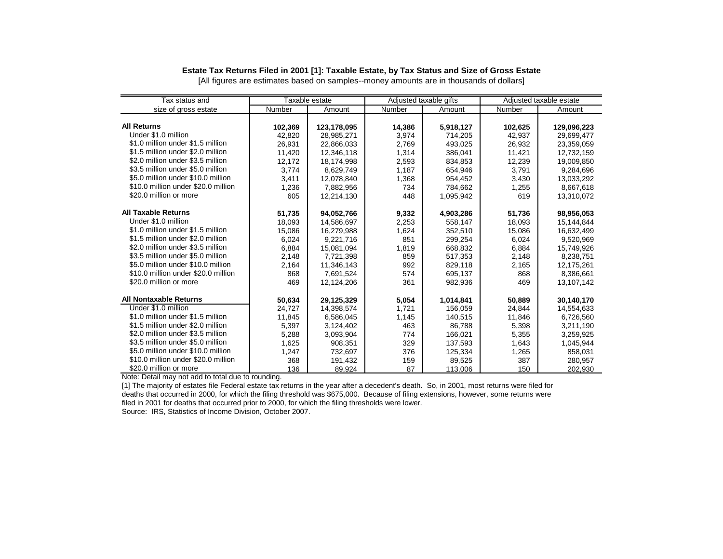# **Estate Tax Returns Filed in 2001 [1]: Taxable Estate, by Tax Status and Size of Gross Estate**

[All figures are estimates based on samples--money amounts are in thousands of dollars]

| Tax status and                      |         | Taxable estate | Adjusted taxable gifts |           |         | Adjusted taxable estate |
|-------------------------------------|---------|----------------|------------------------|-----------|---------|-------------------------|
| size of gross estate                | Number  | Amount         | Number                 | Amount    | Number  | Amount                  |
|                                     |         |                |                        |           |         |                         |
| <b>All Returns</b>                  | 102,369 | 123,178,095    | 14,386                 | 5,918,127 | 102,625 | 129,096,223             |
| Under \$1.0 million                 | 42,820  | 28,985,271     | 3,974                  | 714,205   | 42,937  | 29,699,477              |
| \$1.0 million under \$1.5 million   | 26,931  | 22,866,033     | 2,769                  | 493,025   | 26,932  | 23,359,059              |
| \$1.5 million under \$2.0 million   | 11,420  | 12,346,118     | 1,314                  | 386,041   | 11,421  | 12,732,159              |
| \$2.0 million under \$3.5 million   | 12,172  | 18,174,998     | 2,593                  | 834,853   | 12,239  | 19,009,850              |
| \$3.5 million under \$5.0 million   | 3.774   | 8.629.749      | 1.187                  | 654.946   | 3.791   | 9,284,696               |
| \$5.0 million under \$10.0 million  | 3,411   | 12.078.840     | 1,368                  | 954.452   | 3,430   | 13,033,292              |
| \$10.0 million under \$20.0 million | 1,236   | 7,882,956      | 734                    | 784,662   | 1,255   | 8,667,618               |
| \$20.0 million or more              | 605     | 12,214,130     | 448                    | 1,095,942 | 619     | 13,310,072              |
|                                     |         |                |                        |           |         |                         |
| <b>All Taxable Returns</b>          | 51,735  | 94,052,766     | 9,332                  | 4,903,286 | 51,736  | 98,956,053              |
| Under \$1.0 million                 | 18.093  | 14,586,697     | 2,253                  | 558.147   | 18,093  | 15,144,844              |
| \$1.0 million under \$1.5 million   | 15,086  | 16,279,988     | 1,624                  | 352,510   | 15,086  | 16,632,499              |
| \$1.5 million under \$2.0 million   | 6,024   | 9,221,716      | 851                    | 299,254   | 6,024   | 9,520,969               |
| \$2.0 million under \$3.5 million   | 6,884   | 15,081,094     | 1,819                  | 668,832   | 6,884   | 15,749,926              |
| \$3.5 million under \$5.0 million   | 2,148   | 7,721,398      | 859                    | 517,353   | 2,148   | 8,238,751               |
| \$5.0 million under \$10.0 million  | 2,164   | 11,346,143     | 992                    | 829,118   | 2,165   | 12,175,261              |
| \$10.0 million under \$20.0 million | 868     | 7.691.524      | 574                    | 695.137   | 868     | 8.386.661               |
| \$20.0 million or more              | 469     | 12,124,206     | 361                    | 982,936   | 469     | 13,107,142              |
| <b>All Nontaxable Returns</b>       | 50,634  | 29,125,329     | 5,054                  | 1,014,841 | 50,889  | 30,140,170              |
| Under \$1.0 million                 | 24,727  | 14,398,574     | 1,721                  | 156,059   | 24,844  | 14,554,633              |
| \$1.0 million under \$1.5 million   | 11,845  | 6,586,045      | 1,145                  | 140,515   | 11,846  | 6,726,560               |
| \$1.5 million under \$2.0 million   | 5,397   | 3,124,402      | 463                    | 86,788    | 5,398   | 3,211,190               |
| \$2.0 million under \$3.5 million   | 5,288   | 3,093,904      | 774                    | 166,021   | 5,355   | 3,259,925               |
| \$3.5 million under \$5.0 million   | 1.625   | 908,351        | 329                    | 137,593   | 1,643   | 1,045,944               |
| \$5.0 million under \$10.0 million  | 1,247   | 732,697        | 376                    | 125,334   | 1,265   | 858,031                 |
| \$10.0 million under \$20.0 million | 368     | 191,432        | 159                    | 89,525    | 387     | 280,957                 |
| \$20.0 million or more              | 136     | 89,924         | 87                     | 113,006   | 150     | 202,930                 |

Note: Detail may not add to total due to rounding.

[1] The majority of estates file Federal estate tax returns in the year after a decedent's death. So, in 2001, most returns were filed for deaths that occurred in 2000, for which the filing threshold was \$675,000. Because of filing extensions, however, some returns were filed in 2001 for deaths that occurred prior to 2000, for which the filing thresholds were lower.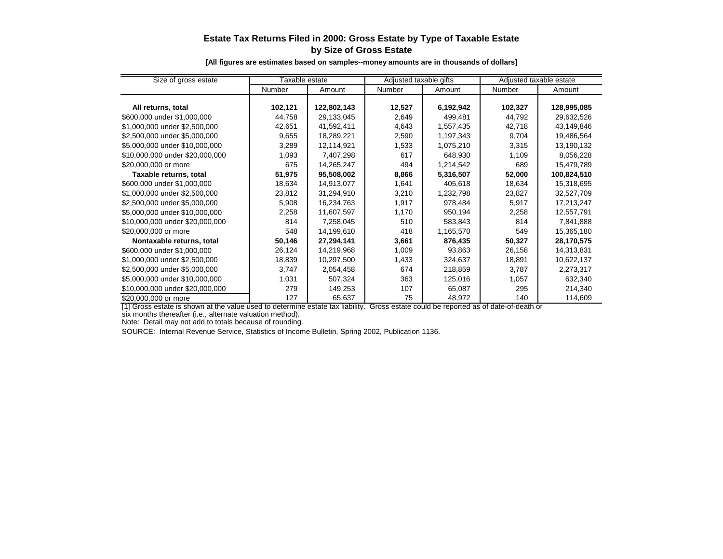# **Estate Tax Returns Filed in 2000: Gross Estate by Type of Taxable Estate by Size of Gross Estate**

**[All figures are estimates based on samples--money amounts are in thousands of dollars]**

| Size of gross estate            | Taxable estate |             | Adjusted taxable gifts |           | Adjusted taxable estate |             |
|---------------------------------|----------------|-------------|------------------------|-----------|-------------------------|-------------|
|                                 | Number         | Amount      | <b>Number</b>          | Amount    | <b>Number</b>           | Amount      |
|                                 |                |             |                        |           |                         |             |
| All returns, total              | 102,121        | 122,802,143 | 12,527                 | 6,192,942 | 102,327                 | 128,995,085 |
| \$600,000 under \$1,000,000     | 44,758         | 29,133,045  | 2,649                  | 499,481   | 44,792                  | 29,632,526  |
| \$1,000,000 under \$2,500,000   | 42,651         | 41,592,411  | 4,643                  | 1,557,435 | 42,718                  | 43,149,846  |
| \$2,500,000 under \$5,000,000   | 9,655          | 18,289,221  | 2,590                  | 1,197,343 | 9,704                   | 19,486,564  |
| \$5,000,000 under \$10,000,000  | 3,289          | 12,114,921  | 1,533                  | 1,075,210 | 3,315                   | 13,190,132  |
| \$10,000,000 under \$20,000,000 | 1,093          | 7,407,298   | 617                    | 648,930   | 1,109                   | 8,056,228   |
| \$20,000,000 or more            | 675            | 14,265,247  | 494                    | 1,214,542 | 689                     | 15,479,789  |
| Taxable returns, total          | 51,975         | 95,508,002  | 8,866                  | 5,316,507 | 52,000                  | 100,824,510 |
| \$600,000 under \$1,000,000     | 18,634         | 14,913,077  | 1,641                  | 405,618   | 18,634                  | 15,318,695  |
| \$1,000,000 under \$2,500,000   | 23,812         | 31,294,910  | 3,210                  | 1,232,798 | 23,827                  | 32,527,709  |
| \$2,500,000 under \$5,000,000   | 5,908          | 16,234,763  | 1,917                  | 978,484   | 5,917                   | 17,213,247  |
| \$5,000,000 under \$10,000,000  | 2,258          | 11,607,597  | 1,170                  | 950,194   | 2,258                   | 12,557,791  |
| \$10,000,000 under \$20,000,000 | 814            | 7,258,045   | 510                    | 583,843   | 814                     | 7,841,888   |
| \$20,000,000 or more            | 548            | 14,199,610  | 418                    | 1,165,570 | 549                     | 15,365,180  |
| Nontaxable returns, total       | 50,146         | 27,294,141  | 3,661                  | 876,435   | 50,327                  | 28,170,575  |
| \$600,000 under \$1,000,000     | 26,124         | 14,219,968  | 1,009                  | 93,863    | 26,158                  | 14,313,831  |
| \$1,000,000 under \$2,500,000   | 18,839         | 10,297,500  | 1,433                  | 324,637   | 18,891                  | 10,622,137  |
| \$2,500,000 under \$5,000,000   | 3,747          | 2,054,458   | 674                    | 218,859   | 3,787                   | 2,273,317   |
| \$5,000,000 under \$10,000,000  | 1,031          | 507,324     | 363                    | 125,016   | 1,057                   | 632,340     |
| \$10,000,000 under \$20,000,000 | 279            | 149,253     | 107                    | 65,087    | 295                     | 214,340     |
| \$20,000,000 or more            | 127            | 65,637      | 75                     | 48,972    | 140                     | 114,609     |

[1] Gross estate is shown at the value used to determine estate tax liability. Gross estate could be reported as of date-of-death or

six months thereafter (i.e., alternate valuation method).

Note: Detail may not add to totals because of rounding.

SOURCE: Internal Revenue Service, Statistics of Income Bulletin, Spring 2002, Publication 1136.